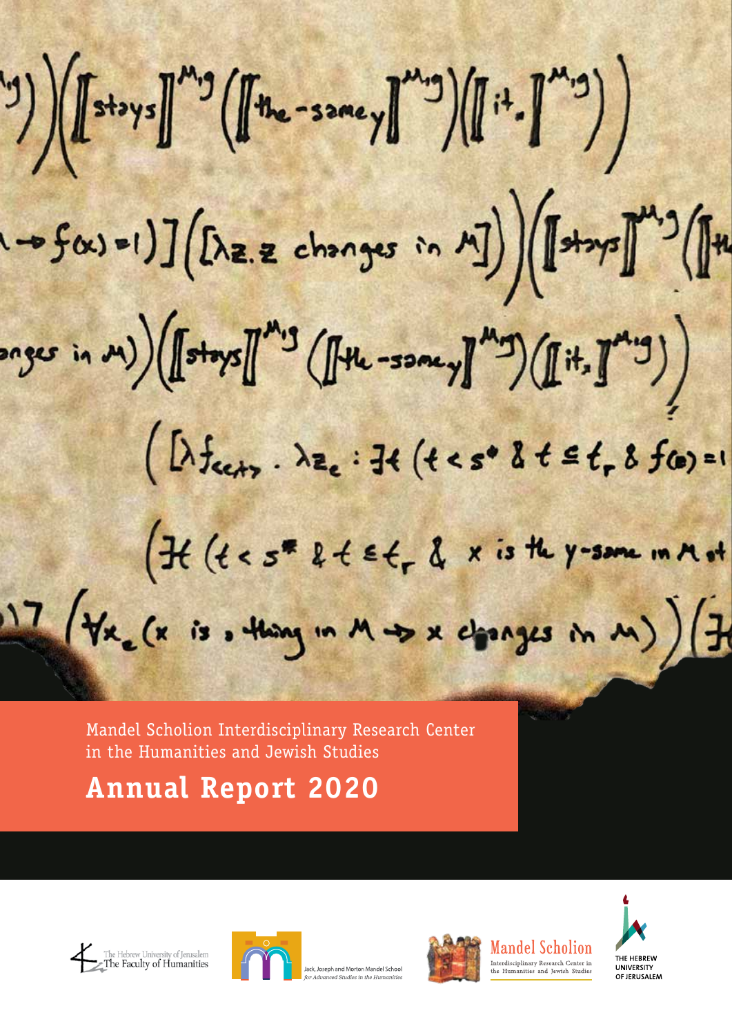$\mathbb{E}^{(2)}\left(\left[\left[\begin{smallmatrix} 1 & 0 & 0 & 0 \\ 0 & 0 & 0 & 0 \\ 0 & 0 & 0 & 0 \\ 0 & 0 & 0 & 0 \\ 0 & 0 & 0 & 0 \\ 0 & 0 & 0 & 0 & 0 \\ 0 & 0 & 0 & 0 & 0 \\ 0 & 0 & 0 & 0 & 0 \\ 0 & 0 & 0 & 0 & 0 \\ 0 & 0 & 0 & 0 & 0 \\ 0 & 0 & 0 & 0 & 0 \\ 0 & 0 & 0 & 0 & 0 \\ 0 & 0 & 0 & 0 & 0 \\ 0 & 0 & 0 & 0 & 0 \\ 0 &$  $(1 - 5\alpha) = 1) \cdot \int (\Delta z. z \text{ changes in } \mathbb{Z}) \cdot \int \mathbb{R}^{n+1} \cdot \int \mathbb{R}^{n}$  $\exp\left(\left(\mathbb{E}^{n+1}\right) \right) \left(\int_{0}^{\infty} \exp\left(\frac{1}{2} \int_{0}^{\infty} \exp\left(-\frac{1}{2} \int_{0}^{\infty} \exp\left(-\frac{1}{2} \int_{0}^{\infty} \exp\left(-\frac{1}{2} \int_{0}^{\infty} \exp\left(-\frac{1}{2} \int_{0}^{\infty} \exp\left(-\frac{1}{2} \int_{0}^{\infty} \exp\left(-\frac{1}{2} \int_{0}^{\infty} \exp\left(-\frac{1}{2} \int_{0}^{\infty} \exp\left(-\frac{1}{2$  $(\lambda f_{cct}, \lambda z_c : \exists t (t < s^* \& t \leq t, \& f(c) = 1$  $f(t < s^* k \leq t \leq t, \& x \text{ is the } y\text{-sum in }n\text{ of } t$ 17 (Vx, (x is, thing in M +> x changes in M) ) (7

Mandel Scholion Interdisciplinary Research Center in the Humanities and Jewish Studies

**Annual Report 2020**









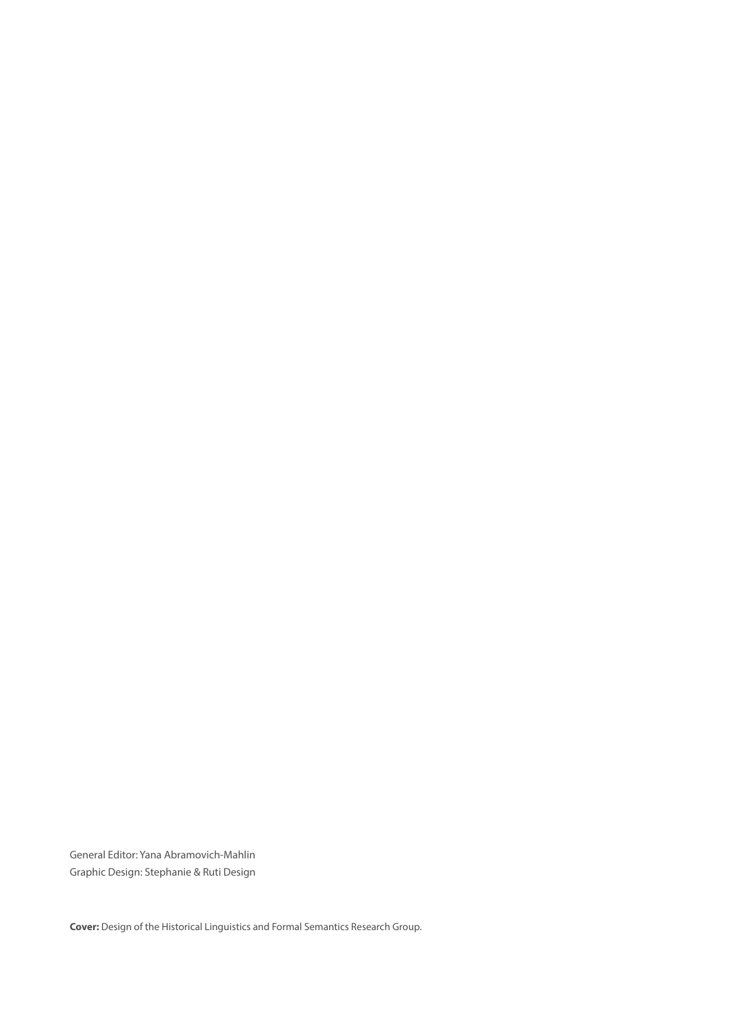General Editor: Yana Abramovich-Mahlin Graphic Design: Stephanie & Ruti Design

**Cover:** Design of the Historical Linguistics and Formal Semantics Research Group.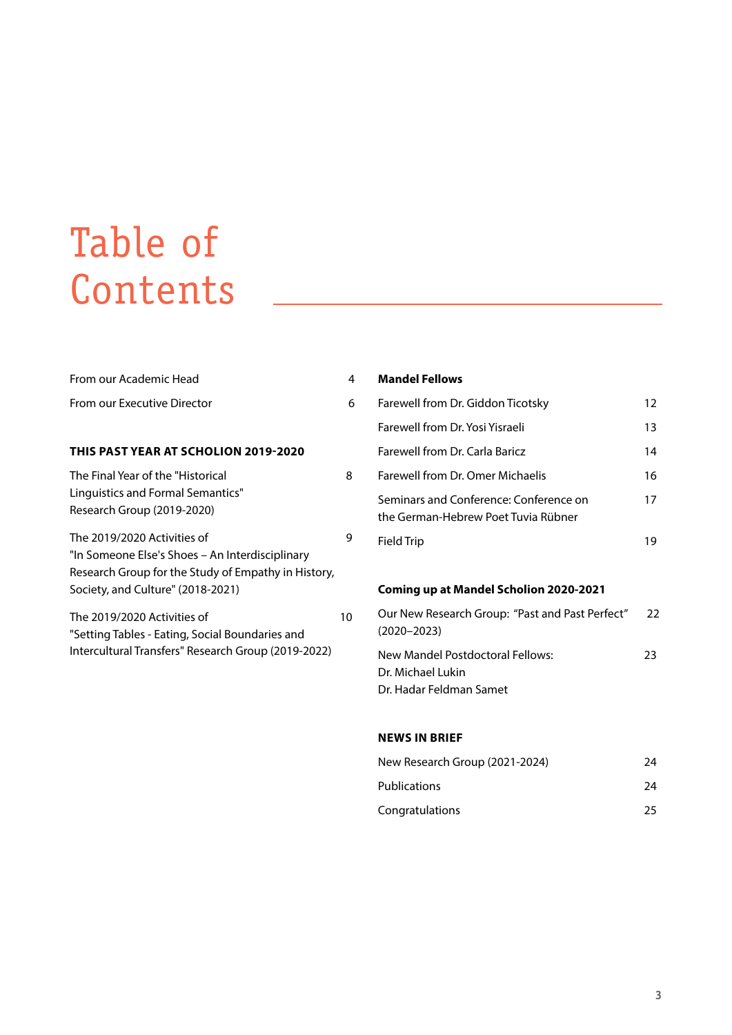# Table of Contents

| From our Academic Head                                                                                                                                                     | 4  |
|----------------------------------------------------------------------------------------------------------------------------------------------------------------------------|----|
| From our Executive Director                                                                                                                                                | 6  |
|                                                                                                                                                                            |    |
| THIS PAST YEAR AT SCHOLION 2019-2020                                                                                                                                       |    |
| The Final Year of the "Historical<br>Linguistics and Formal Semantics"<br>Research Group (2019-2020)                                                                       | 8  |
| The 2019/2020 Activities of<br>"In Someone Else's Shoes – An Interdisciplinary<br>Research Group for the Study of Empathy in History,<br>Society, and Culture" (2018-2021) | g  |
| The 2019/2020 Activities of<br>"Setting Tables - Eating, Social Boundaries and<br>Intercultural Transfers" Research Group (2019-2022)                                      | 10 |

### Farewell from Dr. Giddon Ticotsky 12 Farewell from Dr. Yosi Yisraeli 13 Farewell from Dr. Carla Baricz **14** Farewell from Dr. Omer Michaelis 16 Seminars and Conference: Conference on 17 the German-Hebrew Poet Tuvia Rübner Field Trip 19

#### **Coming up at Mandel Scholion 2020-2021**

| Our New Research Group: "Past and Past Perfect" | $22$ |
|-------------------------------------------------|------|
| $(2020 - 2023)$                                 |      |
| New Mandel Postdoctoral Fellows:                | 23   |
| Dr. Michael Lukin                               |      |
| Dr. Hadar Feldman Samet                         |      |

#### **NEWS IN BRIEF**

**Mandel Fellows**

| New Research Group (2021-2024) | 24 |
|--------------------------------|----|
| <b>Publications</b>            | 24 |
| Congratulations                | 25 |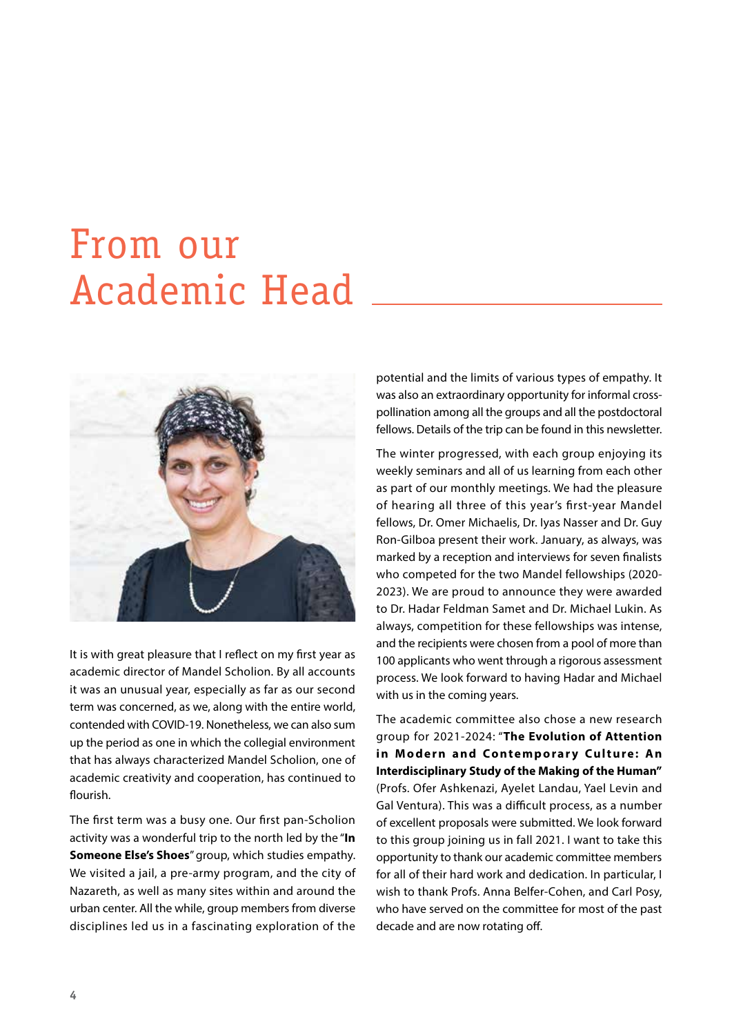# From our Academic Head



It is with great pleasure that I reflect on my first year as academic director of Mandel Scholion. By all accounts it was an unusual year, especially as far as our second term was concerned, as we, along with the entire world, contended with COVID-19. Nonetheless, we can also sum up the period as one in which the collegial environment that has always characterized Mandel Scholion, one of academic creativity and cooperation, has continued to flourish.

The first term was a busy one. Our first pan-Scholion activity was a wonderful trip to the north led by the "**In Someone Else's Shoes**" group, which studies empathy. We visited a jail, a pre-army program, and the city of Nazareth, as well as many sites within and around the urban center. All the while, group members from diverse disciplines led us in a fascinating exploration of the potential and the limits of various types of empathy. It was also an extraordinary opportunity for informal crosspollination among all the groups and all the postdoctoral fellows. Details of the trip can be found in this newsletter.

The winter progressed, with each group enjoying its weekly seminars and all of us learning from each other as part of our monthly meetings. We had the pleasure of hearing all three of this year's first-year Mandel fellows, Dr. Omer Michaelis, Dr. Iyas Nasser and Dr. Guy Ron-Gilboa present their work. January, as always, was marked by a reception and interviews for seven finalists who competed for the two Mandel fellowships (2020- 2023). We are proud to announce they were awarded to Dr. Hadar Feldman Samet and Dr. Michael Lukin. As always, competition for these fellowships was intense, and the recipients were chosen from a pool of more than 100 applicants who went through a rigorous assessment process. We look forward to having Hadar and Michael with us in the coming years.

The academic committee also chose a new research group for 2021-2024: "**The Evolution of Attention**  in Modern and Contemporary Culture: An **Interdisciplinary Study of the Making of the Human"**  (Profs. Ofer Ashkenazi, Ayelet Landau, Yael Levin and Gal Ventura). This was a difficult process, as a number of excellent proposals were submitted. We look forward to this group joining us in fall 2021. I want to take this opportunity to thank our academic committee members for all of their hard work and dedication. In particular, I wish to thank Profs. Anna Belfer-Cohen, and Carl Posy, who have served on the committee for most of the past decade and are now rotating off.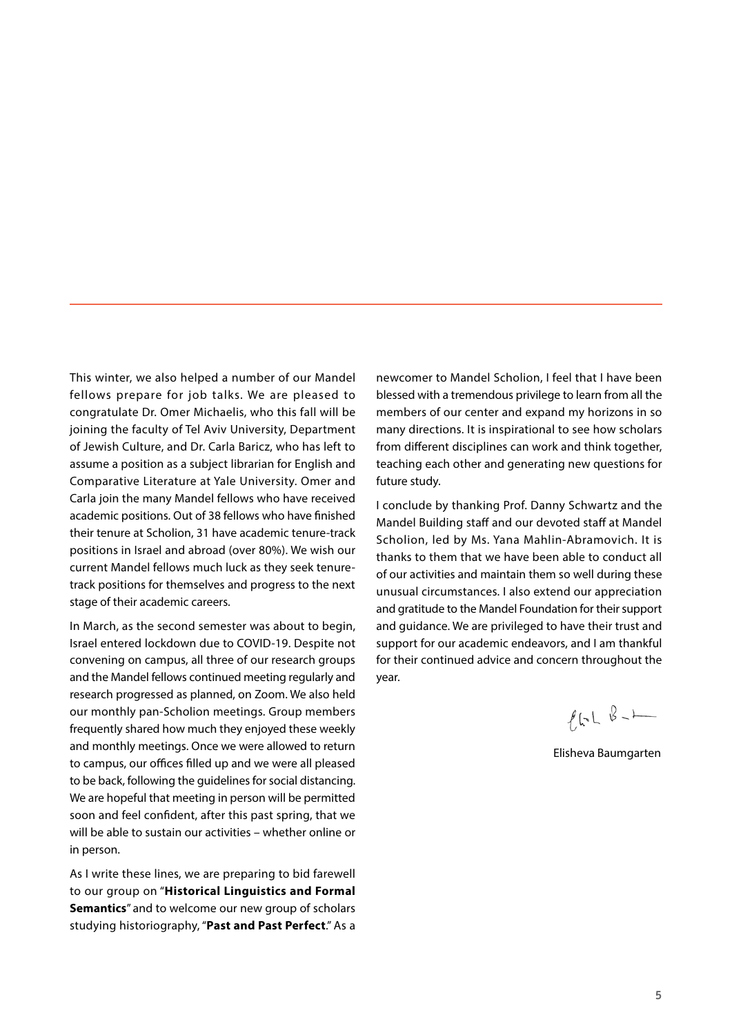This winter, we also helped a number of our Mandel fellows prepare for job talks. We are pleased to congratulate Dr. Omer Michaelis, who this fall will be joining the faculty of Tel Aviv University, Department of Jewish Culture, and Dr. Carla Baricz, who has left to assume a position as a subject librarian for English and Comparative Literature at Yale University. Omer and Carla join the many Mandel fellows who have received academic positions. Out of 38 fellows who have finished their tenure at Scholion, 31 have academic tenure-track positions in Israel and abroad (over 80%). We wish our current Mandel fellows much luck as they seek tenuretrack positions for themselves and progress to the next stage of their academic careers.

In March, as the second semester was about to begin, Israel entered lockdown due to COVID-19. Despite not convening on campus, all three of our research groups and the Mandel fellows continued meeting regularly and research progressed as planned, on Zoom. We also held our monthly pan-Scholion meetings. Group members frequently shared how much they enjoyed these weekly and monthly meetings. Once we were allowed to return to campus, our offices filled up and we were all pleased to be back, following the guidelines for social distancing. We are hopeful that meeting in person will be permitted soon and feel confident, after this past spring, that we will be able to sustain our activities – whether online or in person.

As I write these lines, we are preparing to bid farewell to our group on "**Historical Linguistics and Formal Semantics**" and to welcome our new group of scholars studying historiography, "**Past and Past Perfect**." As a

newcomer to Mandel Scholion, I feel that I have been blessed with a tremendous privilege to learn from all the members of our center and expand my horizons in so many directions. It is inspirational to see how scholars from different disciplines can work and think together, teaching each other and generating new questions for future study.

I conclude by thanking Prof. Danny Schwartz and the Mandel Building staff and our devoted staff at Mandel Scholion, led by Ms. Yana Mahlin-Abramovich. It is thanks to them that we have been able to conduct all of our activities and maintain them so well during these unusual circumstances. I also extend our appreciation and gratitude to the Mandel Foundation for their support and guidance. We are privileged to have their trust and support for our academic endeavors, and I am thankful for their continued advice and concern throughout the year.

 $f_{k-1}$   $B_{-}$ 

Elisheva Baumgarten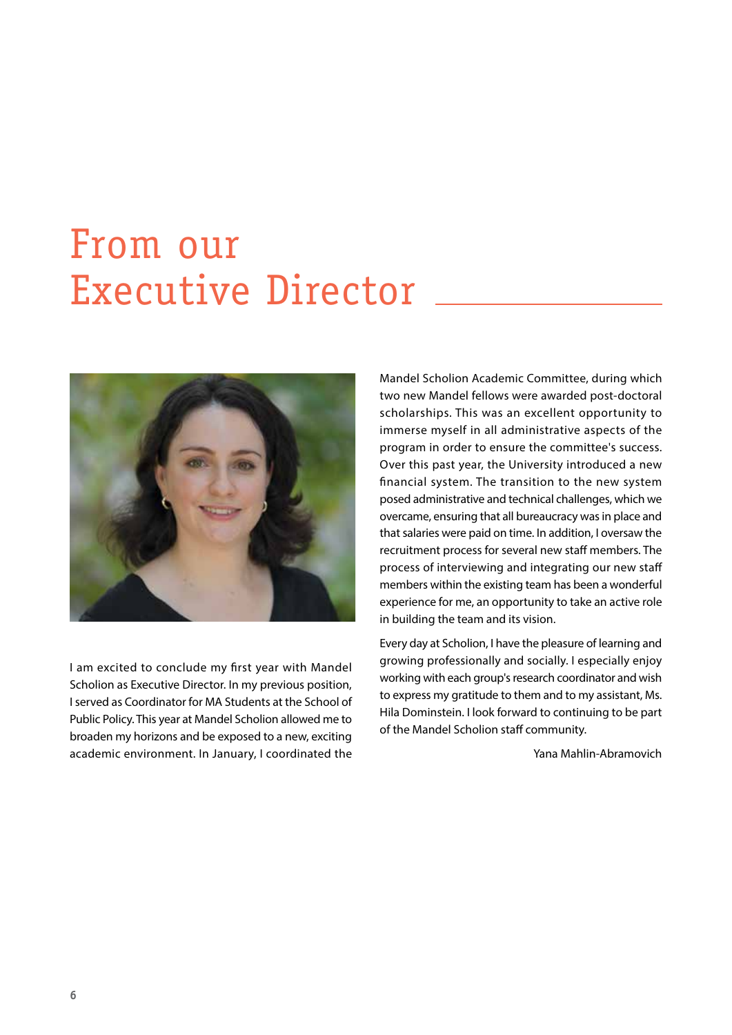## From our Executive Director



I am excited to conclude my first year with Mandel Scholion as Executive Director. In my previous position, I served as Coordinator for MA Students at the School of Public Policy. This year at Mandel Scholion allowed me to broaden my horizons and be exposed to a new, exciting academic environment. In January, I coordinated the

Mandel Scholion Academic Committee, during which two new Mandel fellows were awarded post-doctoral scholarships. This was an excellent opportunity to immerse myself in all administrative aspects of the program in order to ensure the committee's success. Over this past year, the University introduced a new financial system. The transition to the new system posed administrative and technical challenges, which we overcame, ensuring that all bureaucracy was in place and that salaries were paid on time. In addition, I oversaw the recruitment process for several new staff members. The process of interviewing and integrating our new staff members within the existing team has been a wonderful experience for me, an opportunity to take an active role in building the team and its vision.

Every day at Scholion, I have the pleasure of learning and growing professionally and socially. I especially enjoy working with each group's research coordinator and wish to express my gratitude to them and to my assistant, Ms. Hila Dominstein. I look forward to continuing to be part of the Mandel Scholion staff community.

Yana Mahlin-Abramovich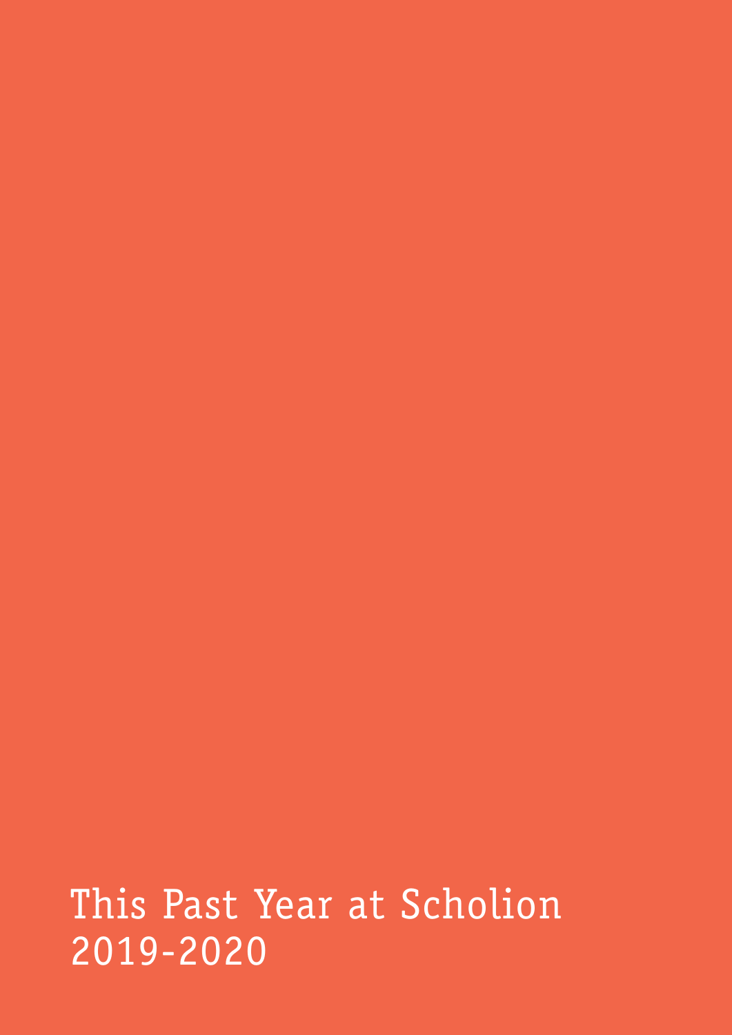This Past Year at Scholion 2019-2020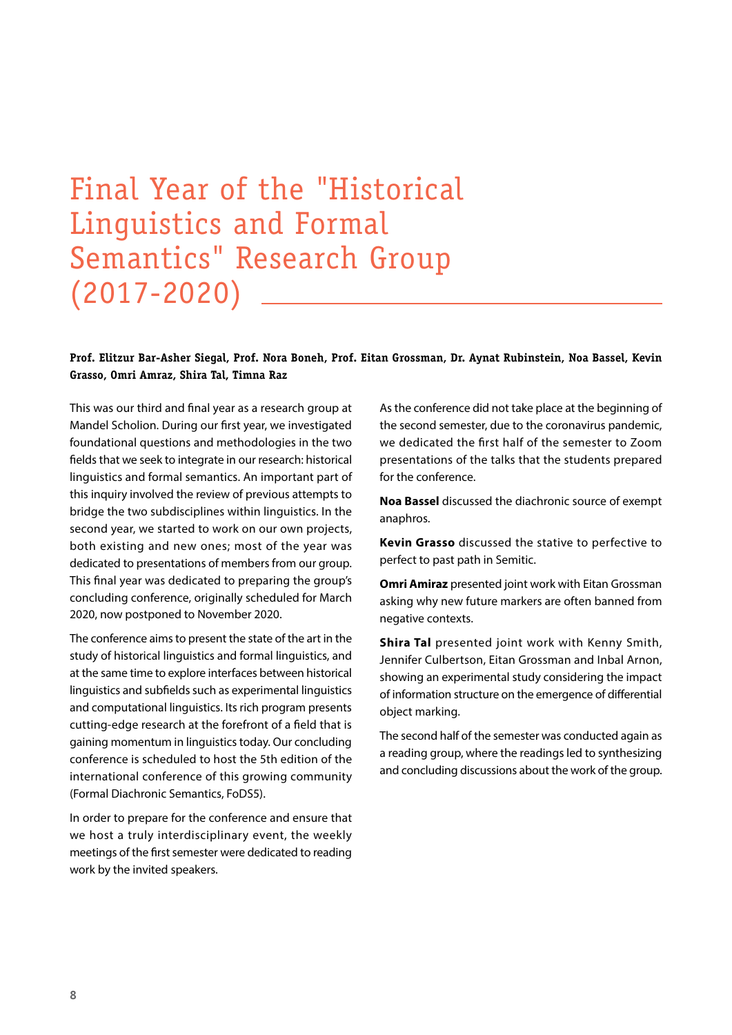### Final Year of the ״Historical Linguistics and Formal Semantics״ Research Group (2017-2020)

#### **Prof. Elitzur Bar-Asher Siegal, Prof. Nora Boneh, Prof. Eitan Grossman, Dr. Aynat Rubinstein, Noa Bassel, Kevin Grasso, Omri Amraz, Shira Tal, Timna Raz**

This was our third and final year as a research group at Mandel Scholion. During our first year, we investigated foundational questions and methodologies in the two fields that we seek to integrate in our research: historical linguistics and formal semantics. An important part of this inquiry involved the review of previous attempts to bridge the two subdisciplines within linguistics. In the second year, we started to work on our own projects, both existing and new ones; most of the year was dedicated to presentations of members from our group. This final year was dedicated to preparing the group's concluding conference, originally scheduled for March 2020, now postponed to November 2020.

The conference aims to present the state of the art in the study of historical linguistics and formal linguistics, and at the same time to explore interfaces between historical linguistics and subfields such as experimental linguistics and computational linguistics. Its rich program presents cutting-edge research at the forefront of a field that is gaining momentum in linguistics today. Our concluding conference is scheduled to host the 5th edition of the international conference of this growing community (Formal Diachronic Semantics, FoDS5).

In order to prepare for the conference and ensure that we host a truly interdisciplinary event, the weekly meetings of the first semester were dedicated to reading work by the invited speakers.

As the conference did not take place at the beginning of the second semester, due to the coronavirus pandemic, we dedicated the first half of the semester to Zoom presentations of the talks that the students prepared for the conference.

**Noa Bassel** discussed the diachronic source of exempt anaphros.

**Kevin Grasso** discussed the stative to perfective to perfect to past path in Semitic.

**Omri Amiraz** presented joint work with Eitan Grossman asking why new future markers are often banned from negative contexts.

**Shira Tal** presented joint work with Kenny Smith, Jennifer Culbertson, Eitan Grossman and Inbal Arnon, showing an experimental study considering the impact of information structure on the emergence of differential object marking.

The second half of the semester was conducted again as a reading group, where the readings led to synthesizing and concluding discussions about the work of the group.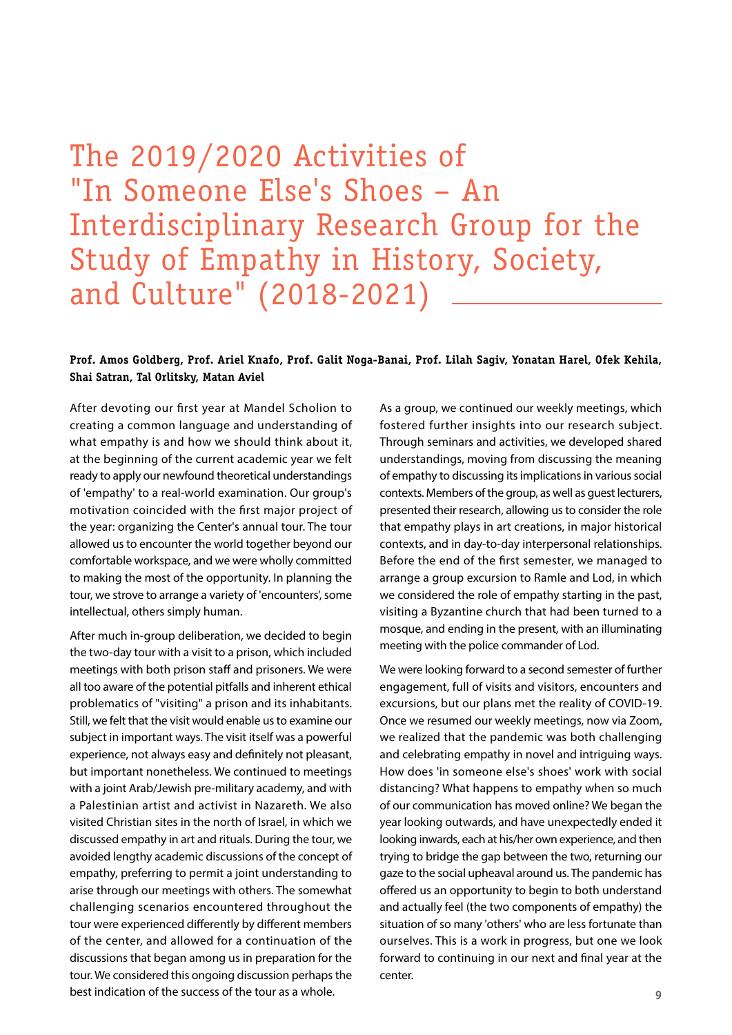The 2019/2020 Activities of "In Someone Else's Shoes – An Interdisciplinary Research Group for the Study of Empathy in History, Society, and Culture" (2018-2021)

#### **Prof. Amos Goldberg, Prof. Ariel Knafo, Prof. Galit Noga-Banai, Prof. Lilah Sagiv, Yonatan Harel, Ofek Kehila, Shai Satran, Tal Orlitsky, Matan Aviel**

After devoting our first year at Mandel Scholion to creating a common language and understanding of what empathy is and how we should think about it, at the beginning of the current academic year we felt ready to apply our newfound theoretical understandings of 'empathy' to a real-world examination. Our group's motivation coincided with the first major project of the year: organizing the Center's annual tour. The tour allowed us to encounter the world together beyond our comfortable workspace, and we were wholly committed to making the most of the opportunity. In planning the tour, we strove to arrange a variety of 'encounters', some intellectual, others simply human.

After much in-group deliberation, we decided to begin the two-day tour with a visit to a prison, which included meetings with both prison staff and prisoners. We were all too aware of the potential pitfalls and inherent ethical problematics of "visiting" a prison and its inhabitants. Still, we felt that the visit would enable us to examine our subject in important ways. The visit itself was a powerful experience, not always easy and definitely not pleasant, but important nonetheless. We continued to meetings with a joint Arab/Jewish pre-military academy, and with a Palestinian artist and activist in Nazareth. We also visited Christian sites in the north of Israel, in which we discussed empathy in art and rituals. During the tour, we avoided lengthy academic discussions of the concept of empathy, preferring to permit a joint understanding to arise through our meetings with others. The somewhat challenging scenarios encountered throughout the tour were experienced differently by different members of the center, and allowed for a continuation of the discussions that began among us in preparation for the tour. We considered this ongoing discussion perhaps the best indication of the success of the tour as a whole.

As a group, we continued our weekly meetings, which fostered further insights into our research subject. Through seminars and activities, we developed shared understandings, moving from discussing the meaning of empathy to discussing its implications in various social contexts. Members of the group, as well as guest lecturers, presented their research, allowing us to consider the role that empathy plays in art creations, in major historical contexts, and in day-to-day interpersonal relationships. Before the end of the first semester, we managed to arrange a group excursion to Ramle and Lod, in which we considered the role of empathy starting in the past, visiting a Byzantine church that had been turned to a mosque, and ending in the present, with an illuminating meeting with the police commander of Lod.

We were looking forward to a second semester of further engagement, full of visits and visitors, encounters and excursions, but our plans met the reality of COVID-19. Once we resumed our weekly meetings, now via Zoom, we realized that the pandemic was both challenging and celebrating empathy in novel and intriguing ways. How does 'in someone else's shoes' work with social distancing? What happens to empathy when so much of our communication has moved online? We began the year looking outwards, and have unexpectedly ended it looking inwards, each at his/her own experience, and then trying to bridge the gap between the two, returning our gaze to the social upheaval around us. The pandemic has offered us an opportunity to begin to both understand and actually feel (the two components of empathy) the situation of so many 'others' who are less fortunate than ourselves. This is a work in progress, but one we look forward to continuing in our next and final year at the center.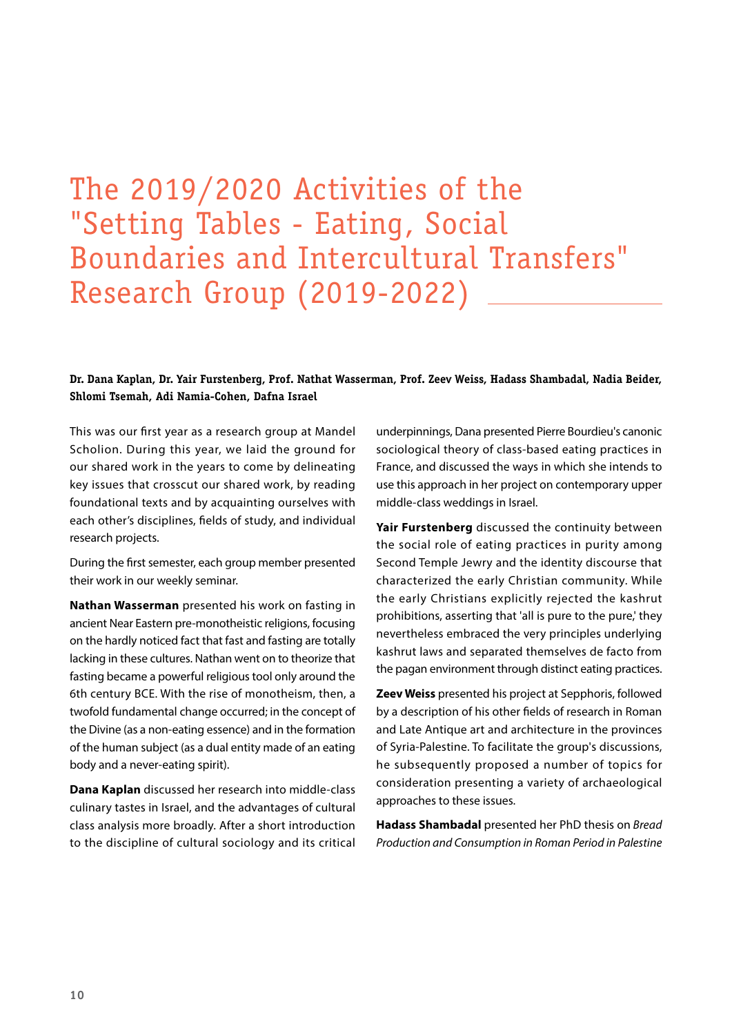### The 2019/2020 Activities of the "Setting Tables - Eating, Social Boundaries and Intercultural Transfers" Research Group (2019-2022)

#### **Dr. Dana Kaplan, Dr. Yair Furstenberg, Prof. Nathat Wasserman, Prof. Zeev Weiss, Hadass Shambadal, Nadia Beider, Shlomi Tsemah, Adi Namia-Cohen, Dafna Israel**

This was our first year as a research group at Mandel Scholion. During this year, we laid the ground for our shared work in the years to come by delineating key issues that crosscut our shared work, by reading foundational texts and by acquainting ourselves with each other's disciplines, fields of study, and individual research projects.

During the first semester, each group member presented their work in our weekly seminar.

**Nathan Wasserman** presented his work on fasting in ancient Near Eastern pre-monotheistic religions, focusing on the hardly noticed fact that fast and fasting are totally lacking in these cultures. Nathan went on to theorize that fasting became a powerful religious tool only around the 6th century BCE. With the rise of monotheism, then, a twofold fundamental change occurred; in the concept of the Divine (as a non-eating essence) and in the formation of the human subject (as a dual entity made of an eating body and a never-eating spirit).

**Dana Kaplan** discussed her research into middle-class culinary tastes in Israel, and the advantages of cultural class analysis more broadly. After a short introduction to the discipline of cultural sociology and its critical

underpinnings, Dana presented Pierre Bourdieu's canonic sociological theory of class-based eating practices in France, and discussed the ways in which she intends to use this approach in her project on contemporary upper middle-class weddings in Israel.

**Yair Furstenberg** discussed the continuity between the social role of eating practices in purity among Second Temple Jewry and the identity discourse that characterized the early Christian community. While the early Christians explicitly rejected the kashrut prohibitions, asserting that 'all is pure to the pure,' they nevertheless embraced the very principles underlying kashrut laws and separated themselves de facto from the pagan environment through distinct eating practices.

**Zeev Weiss** presented his project at Sepphoris, followed by a description of his other fields of research in Roman and Late Antique art and architecture in the provinces of Syria-Palestine. To facilitate the group's discussions, he subsequently proposed a number of topics for consideration presenting a variety of archaeological approaches to these issues.

**Hadass Shambadal** presented her PhD thesis on *Bread Production and Consumption in Roman Period in Palestine*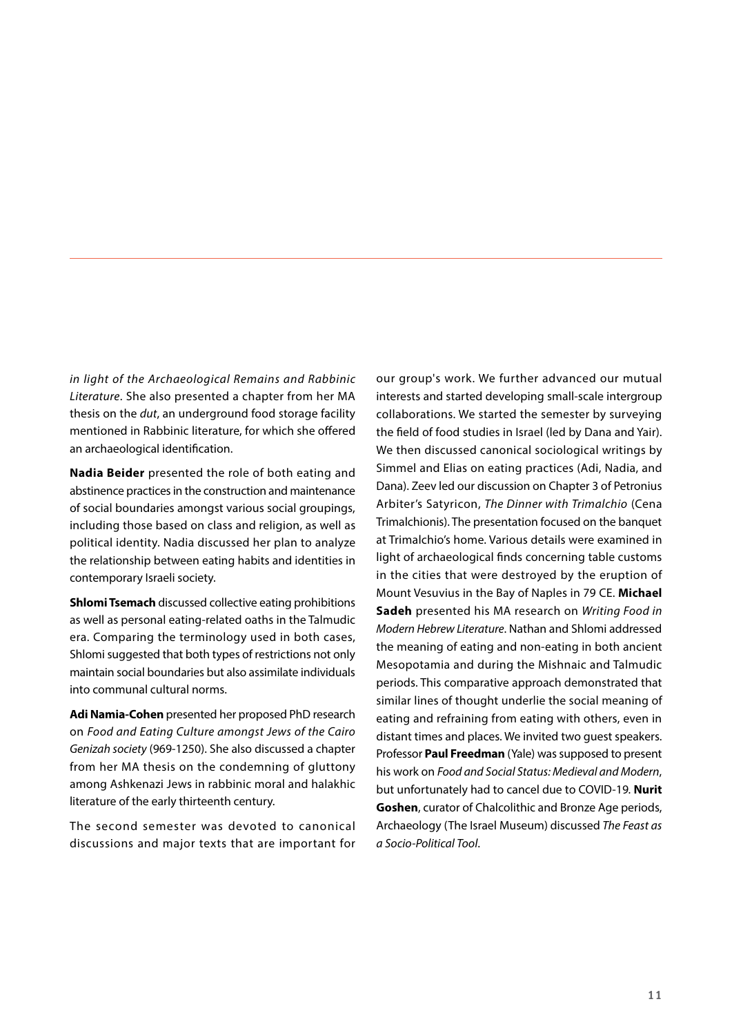*in light of the Archaeological Remains and Rabbinic Literature*. She also presented a chapter from her MA thesis on the *dut*, an underground food storage facility mentioned in Rabbinic literature, for which she offered an archaeological identification.

**Nadia Beider** presented the role of both eating and abstinence practices in the construction and maintenance of social boundaries amongst various social groupings, including those based on class and religion, as well as political identity. Nadia discussed her plan to analyze the relationship between eating habits and identities in contemporary Israeli society.

**Shlomi Tsemach** discussed collective eating prohibitions as well as personal eating-related oaths in the Talmudic era. Comparing the terminology used in both cases, Shlomi suggested that both types of restrictions not only maintain social boundaries but also assimilate individuals into communal cultural norms.

**Adi Namia-Cohen** presented her proposed PhD research on *Food and Eating Culture amongst Jews of the Cairo Genizah society* (969-1250). She also discussed a chapter from her MA thesis on the condemning of gluttony among Ashkenazi Jews in rabbinic moral and halakhic literature of the early thirteenth century.

The second semester was devoted to canonical discussions and major texts that are important for our group's work. We further advanced our mutual interests and started developing small-scale intergroup collaborations. We started the semester by surveying the field of food studies in Israel (led by Dana and Yair). We then discussed canonical sociological writings by Simmel and Elias on eating practices (Adi, Nadia, and Dana). Zeev led our discussion on Chapter 3 of Petronius Arbiter's Satyricon, *The Dinner with Trimalchio* (Cena Trimalchionis). The presentation focused on the banquet at Trimalchio's home. Various details were examined in light of archaeological finds concerning table customs in the cities that were destroyed by the eruption of Mount Vesuvius in the Bay of Naples in 79 CE. **Michael Sadeh** presented his MA research on *Writing Food in Modern Hebrew Literature*. Nathan and Shlomi addressed the meaning of eating and non-eating in both ancient Mesopotamia and during the Mishnaic and Talmudic periods. This comparative approach demonstrated that similar lines of thought underlie the social meaning of eating and refraining from eating with others, even in distant times and places. We invited two guest speakers. Professor **Paul Freedman** (Yale) was supposed to present his work on *Food and Social Status: Medieval and Modern*, but unfortunately had to cancel due to COVID-19*.* **Nurit Goshen**, curator of Chalcolithic and Bronze Age periods, Archaeology (The Israel Museum) discussed *The Feast as a Socio-Political Tool*.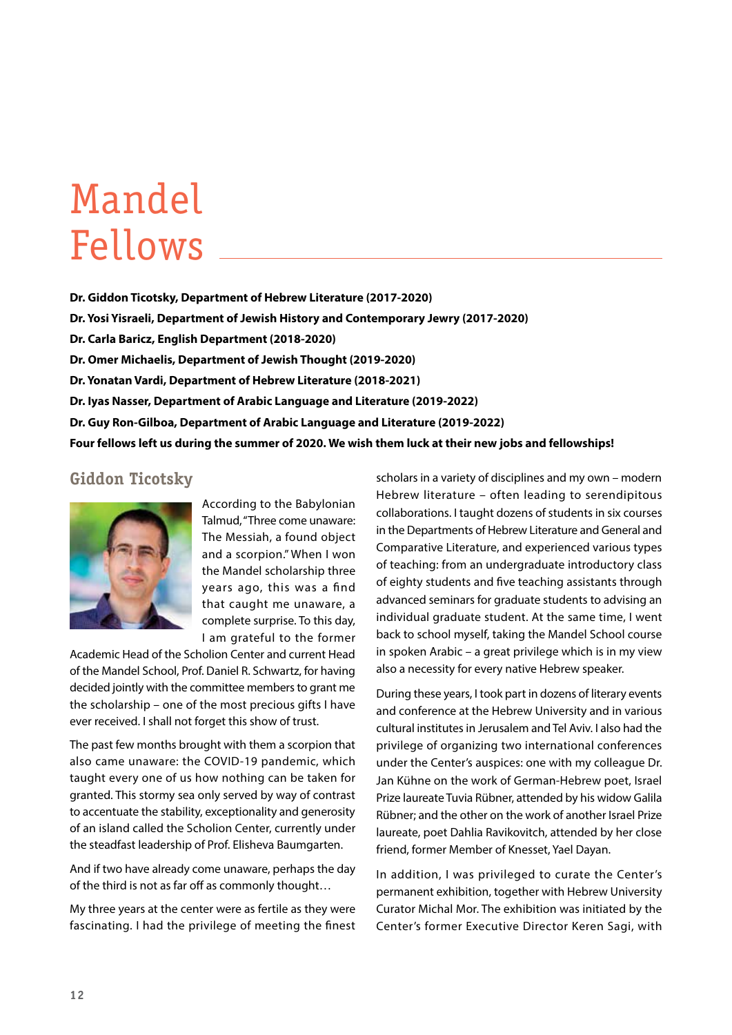# Mandel Fellows

**Dr. Giddon Ticotsky, Department of Hebrew Literature (2017-2020) Dr. Yosi Yisraeli, Department of Jewish History and Contemporary Jewry (2017-2020) Dr. Carla Baricz, English Department (2018-2020) Dr. Omer Michaelis, Department of Jewish Thought (2019-2020) Dr. Yonatan Vardi, Department of Hebrew Literature (2018-2021) Dr. Iyas Nasser, Department of Arabic Language and Literature (2019-2022) Dr. Guy Ron-Gilboa, Department of Arabic Language and Literature (2019-2022) Four fellows left us during the summer of 2020. We wish them luck at their new jobs and fellowships!**

### **Giddon Ticotsky**



According to the Babylonian Talmud, "Three come unaware: The Messiah, a found object and a scorpion." When I won the Mandel scholarship three years ago, this was a find that caught me unaware, a complete surprise. To this day, I am grateful to the former

Academic Head of the Scholion Center and current Head of the Mandel School, Prof. Daniel R. Schwartz, for having decided jointly with the committee members to grant me the scholarship – one of the most precious gifts I have ever received. I shall not forget this show of trust.

The past few months brought with them a scorpion that also came unaware: the COVID-19 pandemic, which taught every one of us how nothing can be taken for granted. This stormy sea only served by way of contrast to accentuate the stability, exceptionality and generosity of an island called the Scholion Center, currently under the steadfast leadership of Prof. Elisheva Baumgarten.

And if two have already come unaware, perhaps the day of the third is not as far off as commonly thought…

My three years at the center were as fertile as they were fascinating. I had the privilege of meeting the finest scholars in a variety of disciplines and my own – modern Hebrew literature – often leading to serendipitous collaborations. I taught dozens of students in six courses in the Departments of Hebrew Literature and General and Comparative Literature, and experienced various types of teaching: from an undergraduate introductory class of eighty students and five teaching assistants through advanced seminars for graduate students to advising an individual graduate student. At the same time, I went back to school myself, taking the Mandel School course in spoken Arabic – a great privilege which is in my view also a necessity for every native Hebrew speaker.

During these years, I took part in dozens of literary events and conference at the Hebrew University and in various cultural institutes in Jerusalem and Tel Aviv. I also had the privilege of organizing two international conferences under the Center's auspices: one with my colleague Dr. Jan Kühne on the work of German-Hebrew poet, Israel Prize laureate Tuvia Rübner, attended by his widow Galila Rübner; and the other on the work of another Israel Prize laureate, poet Dahlia Ravikovitch, attended by her close friend, former Member of Knesset, Yael Dayan.

In addition, I was privileged to curate the Center's permanent exhibition, together with Hebrew University Curator Michal Mor. The exhibition was initiated by the Center's former Executive Director Keren Sagi, with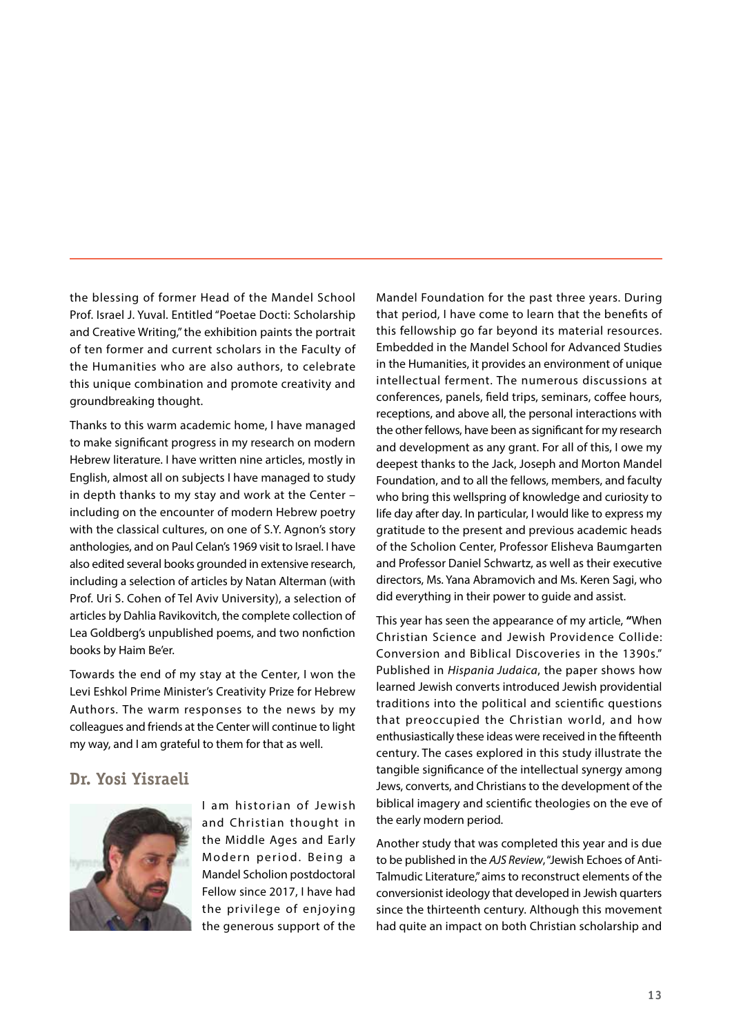the blessing of former Head of the Mandel School Prof. Israel J. Yuval. Entitled "Poetae Docti: Scholarship and Creative Writing," the exhibition paints the portrait of ten former and current scholars in the Faculty of the Humanities who are also authors, to celebrate this unique combination and promote creativity and groundbreaking thought.

Thanks to this warm academic home, I have managed to make significant progress in my research on modern Hebrew literature. I have written nine articles, mostly in English, almost all on subjects I have managed to study in depth thanks to my stay and work at the Center – including on the encounter of modern Hebrew poetry with the classical cultures, on one of S.Y. Agnon's story anthologies, and on Paul Celan's 1969 visit to Israel. I have also edited several books grounded in extensive research, including a selection of articles by Natan Alterman (with Prof. Uri S. Cohen of Tel Aviv University), a selection of articles by Dahlia Ravikovitch, the complete collection of Lea Goldberg's unpublished poems, and two nonfiction books by Haim Be'er.

Towards the end of my stay at the Center, I won the Levi Eshkol Prime Minister's Creativity Prize for Hebrew Authors. The warm responses to the news by my colleagues and friends at the Center will continue to light my way, and I am grateful to them for that as well.

#### **Dr. Yosi Yisraeli**



I am historian of Jewish and Christian thought in the Middle Ages and Early Modern period. Being a Mandel Scholion postdoctoral Fellow since 2017, I have had the privilege of enjoying the generous support of the Mandel Foundation for the past three years. During that period, I have come to learn that the benefits of this fellowship go far beyond its material resources. Embedded in the Mandel School for Advanced Studies in the Humanities, it provides an environment of unique intellectual ferment. The numerous discussions at conferences, panels, field trips, seminars, coffee hours, receptions, and above all, the personal interactions with the other fellows, have been as significant for my research and development as any grant. For all of this, I owe my deepest thanks to the Jack, Joseph and Morton Mandel Foundation, and to all the fellows, members, and faculty who bring this wellspring of knowledge and curiosity to life day after day. In particular, I would like to express my gratitude to the present and previous academic heads of the Scholion Center, Professor Elisheva Baumgarten and Professor Daniel Schwartz, as well as their executive directors, Ms. Yana Abramovich and Ms. Keren Sagi, who did everything in their power to guide and assist.

This year has seen the appearance of my article, **"**When Christian Science and Jewish Providence Collide: Conversion and Biblical Discoveries in the 1390s." Published in *Hispania Judaica*, the paper shows how learned Jewish converts introduced Jewish providential traditions into the political and scientific questions that preoccupied the Christian world, and how enthusiastically these ideas were received in the fifteenth century. The cases explored in this study illustrate the tangible significance of the intellectual synergy among Jews, converts, and Christians to the development of the biblical imagery and scientific theologies on the eve of the early modern period.

Another study that was completed this year and is due to be published in the *AJS Review*, "Jewish Echoes of Anti-Talmudic Literature," aims to reconstruct elements of the conversionist ideology that developed in Jewish quarters since the thirteenth century. Although this movement had quite an impact on both Christian scholarship and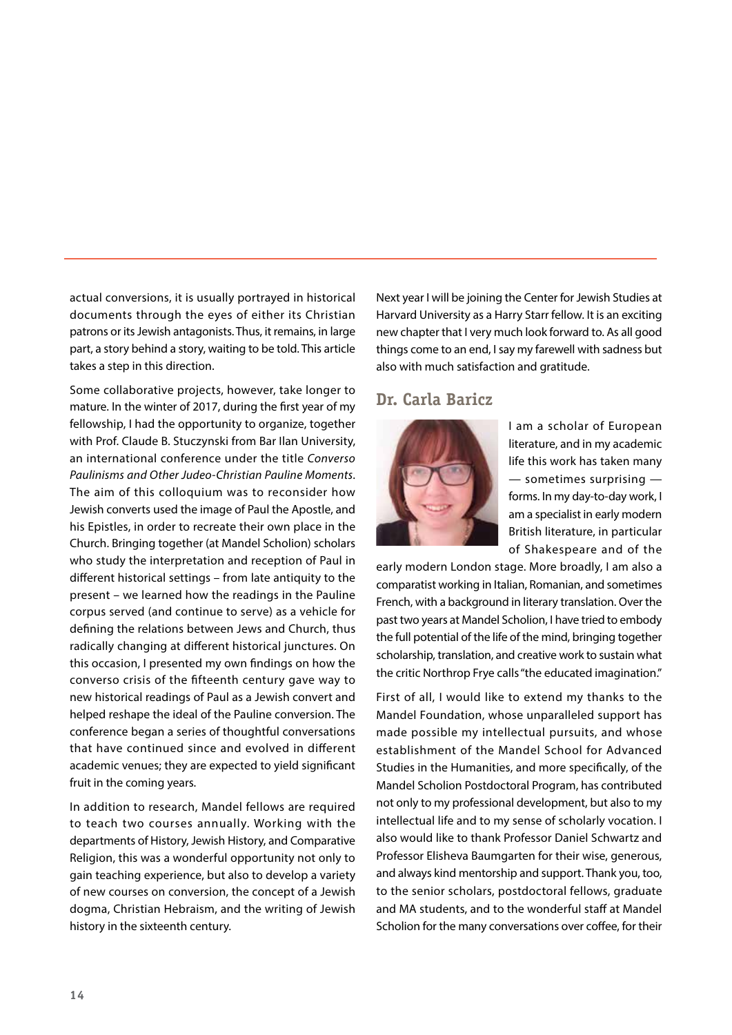actual conversions, it is usually portrayed in historical documents through the eyes of either its Christian patrons or its Jewish antagonists. Thus, it remains, in large part, a story behind a story, waiting to be told. This article takes a step in this direction.

Some collaborative projects, however, take longer to mature. In the winter of 2017, during the first year of my fellowship, I had the opportunity to organize, together with Prof. Claude B. Stuczynski from Bar Ilan University, an international conference under the title *Converso Paulinisms and Other Judeo-Christian Pauline Moments*. The aim of this colloquium was to reconsider how Jewish converts used the image of Paul the Apostle, and his Epistles, in order to recreate their own place in the Church. Bringing together (at Mandel Scholion) scholars who study the interpretation and reception of Paul in different historical settings – from late antiquity to the present – we learned how the readings in the Pauline corpus served (and continue to serve) as a vehicle for defining the relations between Jews and Church, thus radically changing at different historical junctures. On this occasion, I presented my own findings on how the converso crisis of the fifteenth century gave way to new historical readings of Paul as a Jewish convert and helped reshape the ideal of the Pauline conversion. The conference began a series of thoughtful conversations that have continued since and evolved in different academic venues; they are expected to yield significant fruit in the coming years.

In addition to research, Mandel fellows are required to teach two courses annually. Working with the departments of History, Jewish History, and Comparative Religion, this was a wonderful opportunity not only to gain teaching experience, but also to develop a variety of new courses on conversion, the concept of a Jewish dogma, Christian Hebraism, and the writing of Jewish history in the sixteenth century.

Next year I will be joining the Center for Jewish Studies at Harvard University as a Harry Starr fellow. It is an exciting new chapter that I very much look forward to. As all good things come to an end, I say my farewell with sadness but also with much satisfaction and gratitude.

#### **Dr. Carla Baricz**



I am a scholar of European literature, and in my academic life this work has taken many — sometimes surprising forms. In my day-to-day work, I am a specialist in early modern British literature, in particular of Shakespeare and of the

early modern London stage. More broadly, I am also a comparatist working in Italian, Romanian, and sometimes French, with a background in literary translation. Over the past two years at Mandel Scholion, I have tried to embody the full potential of the life of the mind, bringing together scholarship, translation, and creative work to sustain what the critic Northrop Frye calls "the educated imagination."

First of all, I would like to extend my thanks to the Mandel Foundation, whose unparalleled support has made possible my intellectual pursuits, and whose establishment of the Mandel School for Advanced Studies in the Humanities, and more specifically, of the Mandel Scholion Postdoctoral Program, has contributed not only to my professional development, but also to my intellectual life and to my sense of scholarly vocation. I also would like to thank Professor Daniel Schwartz and Professor Elisheva Baumgarten for their wise, generous, and always kind mentorship and support. Thank you, too, to the senior scholars, postdoctoral fellows, graduate and MA students, and to the wonderful staff at Mandel Scholion for the many conversations over coffee, for their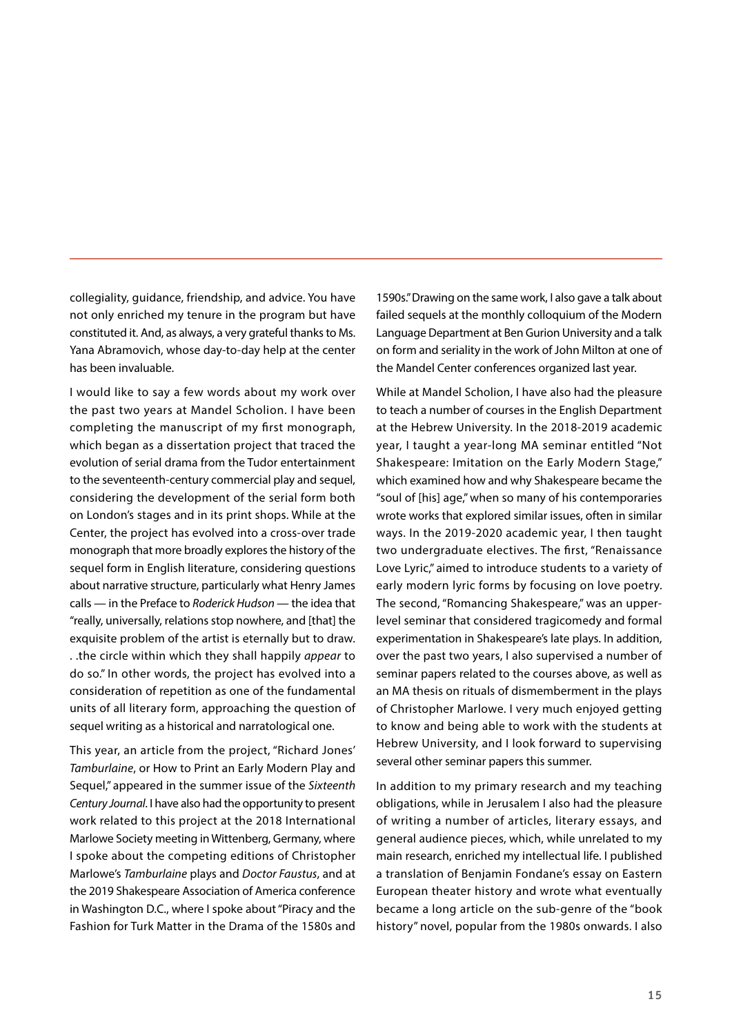collegiality, guidance, friendship, and advice. You have not only enriched my tenure in the program but have constituted it. And, as always, a very grateful thanks to Ms. Yana Abramovich, whose day-to-day help at the center has been invaluable.

I would like to say a few words about my work over the past two years at Mandel Scholion. I have been completing the manuscript of my first monograph, which began as a dissertation project that traced the evolution of serial drama from the Tudor entertainment to the seventeenth-century commercial play and sequel, considering the development of the serial form both on London's stages and in its print shops. While at the Center, the project has evolved into a cross-over trade monograph that more broadly explores the history of the sequel form in English literature, considering questions about narrative structure, particularly what Henry James calls — in the Preface to *Roderick Hudson* — the idea that "really, universally, relations stop nowhere, and [that] the exquisite problem of the artist is eternally but to draw. . .the circle within which they shall happily *appear* to do so." In other words, the project has evolved into a consideration of repetition as one of the fundamental units of all literary form, approaching the question of sequel writing as a historical and narratological one.

This year, an article from the project, "Richard Jones' *Tamburlaine*, or How to Print an Early Modern Play and Sequel," appeared in the summer issue of the *Sixteenth Century Journal*. I have also had the opportunity to present work related to this project at the 2018 International Marlowe Society meeting in Wittenberg, Germany, where I spoke about the competing editions of Christopher Marlowe's *Tamburlaine* plays and *Doctor Faustus*, and at the 2019 Shakespeare Association of America conference in Washington D.C., where I spoke about "Piracy and the Fashion for Turk Matter in the Drama of the 1580s and

1590s." Drawing on the same work, I also gave a talk about failed sequels at the monthly colloquium of the Modern Language Department at Ben Gurion University and a talk on form and seriality in the work of John Milton at one of the Mandel Center conferences organized last year.

While at Mandel Scholion, I have also had the pleasure to teach a number of courses in the English Department at the Hebrew University. In the 2018-2019 academic year, I taught a year-long MA seminar entitled "Not Shakespeare: Imitation on the Early Modern Stage," which examined how and why Shakespeare became the "soul of [his] age," when so many of his contemporaries wrote works that explored similar issues, often in similar ways. In the 2019-2020 academic year, I then taught two undergraduate electives. The first, "Renaissance Love Lyric," aimed to introduce students to a variety of early modern lyric forms by focusing on love poetry. The second, "Romancing Shakespeare," was an upperlevel seminar that considered tragicomedy and formal experimentation in Shakespeare's late plays. In addition, over the past two years, I also supervised a number of seminar papers related to the courses above, as well as an MA thesis on rituals of dismemberment in the plays of Christopher Marlowe. I very much enjoyed getting to know and being able to work with the students at Hebrew University, and I look forward to supervising several other seminar papers this summer.

In addition to my primary research and my teaching obligations, while in Jerusalem I also had the pleasure of writing a number of articles, literary essays, and general audience pieces, which, while unrelated to my main research, enriched my intellectual life. I published a translation of Benjamin Fondane's essay on Eastern European theater history and wrote what eventually became a long article on the sub-genre of the "book history" novel, popular from the 1980s onwards. I also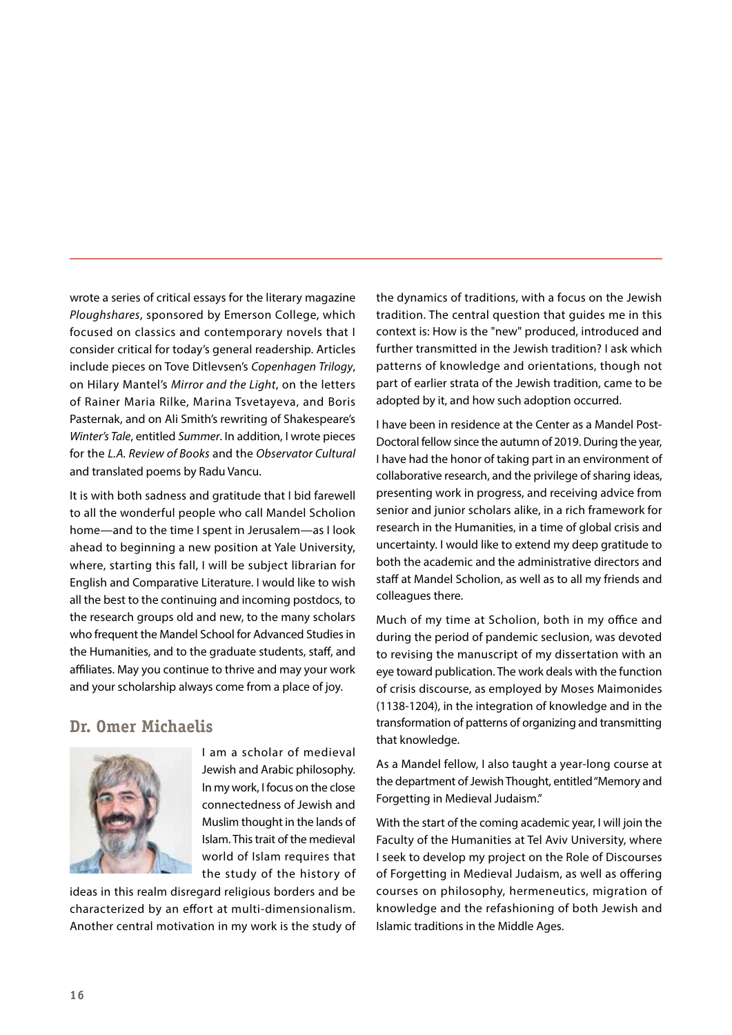wrote a series of critical essays for the literary magazine *Ploughshares*, sponsored by Emerson College, which focused on classics and contemporary novels that I consider critical for today's general readership. Articles include pieces on Tove Ditlevsen's *Copenhagen Trilogy*, on Hilary Mantel's *Mirror and the Light*, on the letters of Rainer Maria Rilke, Marina Tsvetayeva, and Boris Pasternak, and on Ali Smith's rewriting of Shakespeare's *Winter's Tale*, entitled *Summer*. In addition, I wrote pieces for the *L.A. Review of Books* and the *Observator Cultural*  and translated poems by Radu Vancu.

It is with both sadness and gratitude that I bid farewell to all the wonderful people who call Mandel Scholion home—and to the time I spent in Jerusalem—as I look ahead to beginning a new position at Yale University, where, starting this fall, I will be subject librarian for English and Comparative Literature. I would like to wish all the best to the continuing and incoming postdocs, to the research groups old and new, to the many scholars who frequent the Mandel School for Advanced Studies in the Humanities, and to the graduate students, staff, and affiliates. May you continue to thrive and may your work and your scholarship always come from a place of joy.

### **Dr. Omer Michaelis**



I am a scholar of medieval Jewish and Arabic philosophy. In my work, I focus on the close connectedness of Jewish and Muslim thought in the lands of Islam. This trait of the medieval world of Islam requires that the study of the history of

ideas in this realm disregard religious borders and be characterized by an effort at multi-dimensionalism. Another central motivation in my work is the study of the dynamics of traditions, with a focus on the Jewish tradition. The central question that guides me in this context is: How is the "new" produced, introduced and further transmitted in the Jewish tradition? I ask which patterns of knowledge and orientations, though not part of earlier strata of the Jewish tradition, came to be adopted by it, and how such adoption occurred.

I have been in residence at the Center as a Mandel Post-Doctoral fellow since the autumn of 2019. During the year, I have had the honor of taking part in an environment of collaborative research, and the privilege of sharing ideas, presenting work in progress, and receiving advice from senior and junior scholars alike, in a rich framework for research in the Humanities, in a time of global crisis and uncertainty. I would like to extend my deep gratitude to both the academic and the administrative directors and staff at Mandel Scholion, as well as to all my friends and colleagues there.

Much of my time at Scholion, both in my office and during the period of pandemic seclusion, was devoted to revising the manuscript of my dissertation with an eye toward publication. The work deals with the function of crisis discourse, as employed by Moses Maimonides (1138-1204), in the integration of knowledge and in the transformation of patterns of organizing and transmitting that knowledge.

As a Mandel fellow, I also taught a year-long course at the department of Jewish Thought, entitled "Memory and Forgetting in Medieval Judaism."

With the start of the coming academic year, I will join the Faculty of the Humanities at Tel Aviv University, where I seek to develop my project on the Role of Discourses of Forgetting in Medieval Judaism, as well as offering courses on philosophy, hermeneutics, migration of knowledge and the refashioning of both Jewish and Islamic traditions in the Middle Ages.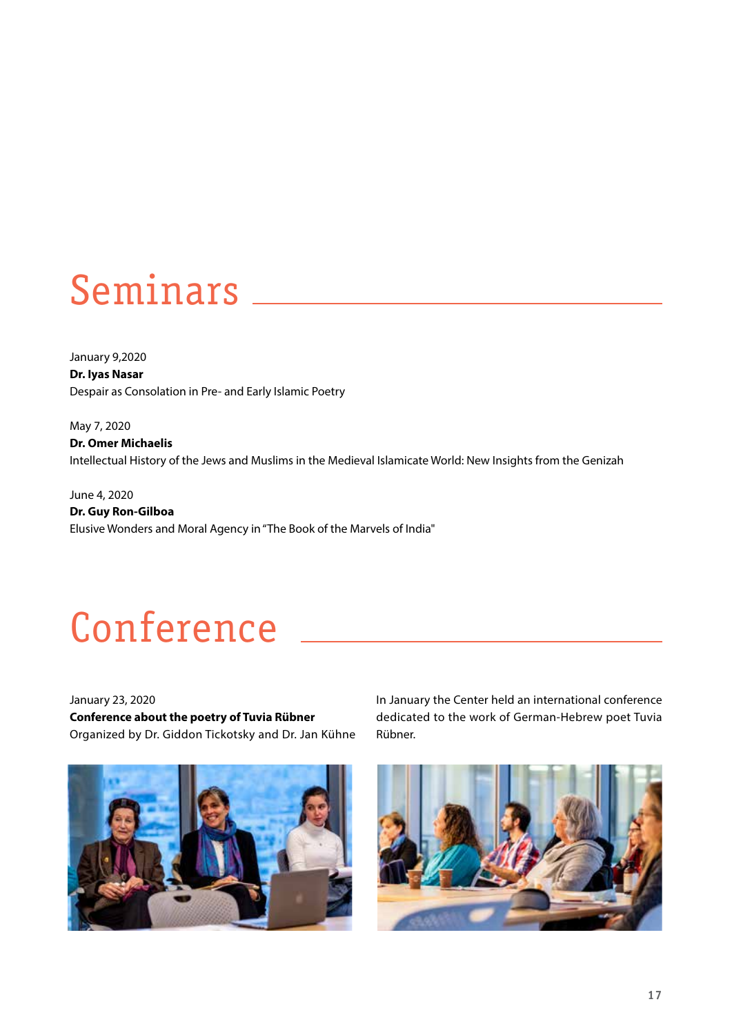# Seminars

January 9,2020 **Dr. Iyas Nasar** Despair as Consolation in Pre- and Early Islamic Poetry

May 7, 2020 **Dr. Omer Michaelis**  Intellectual History of the Jews and Muslims in the Medieval Islamicate World: New Insights from the Genizah

June 4, 2020 **Dr. Guy Ron-Gilboa** Elusive Wonders and Moral Agency in "The Book of the Marvels of India"

# Conference  $\_\_$

January 23, 2020 **Conference about the poetry of Tuvia Rübner**  Organized by Dr. Giddon Tickotsky and Dr. Jan Kühne



In January the Center held an international conference dedicated to the work of German-Hebrew poet Tuvia Rübner.

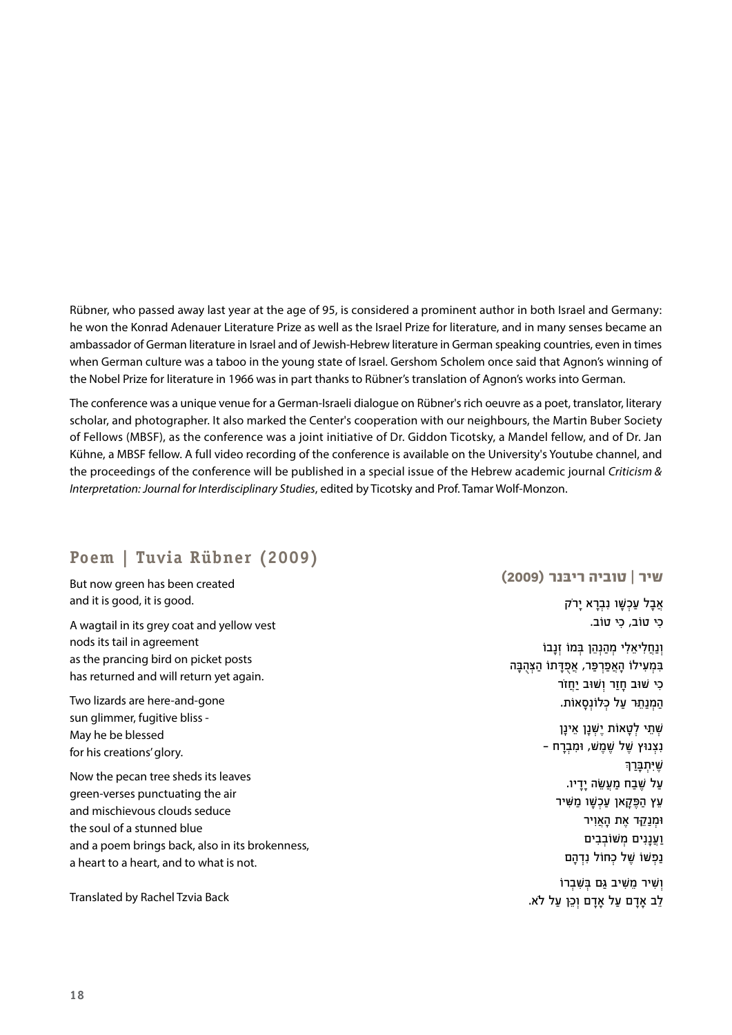Rübner, who passed away last year at the age of 95, is considered a prominent author in both Israel and Germany: he won the Konrad Adenauer Literature Prize as well as the Israel Prize for literature, and in many senses became an ambassador of German literature in Israel and of Jewish-Hebrew literature in German speaking countries, even in times when German culture was a taboo in the young state of Israel. Gershom Scholem once said that Agnon's winning of the Nobel Prize for literature in 1966 was in part thanks to Rübner's translation of Agnon's works into German.

The conference was a unique venue for a German-Israeli dialogue on Rübner's rich oeuvre as a poet, translator, literary scholar, and photographer. It also marked the Center's cooperation with our neighbours, the Martin Buber Society of Fellows (MBSF), as the conference was a joint initiative of Dr. Giddon Ticotsky, a Mandel fellow, and of Dr. Jan Kühne, a MBSF fellow. A full video recording of the conference is available on the University's Youtube channel, and the proceedings of the conference will be published in a special issue of the Hebrew academic journal *Criticism & Interpretation: Journal for Interdisciplinary Studies*, edited by Ticotsky and Prof. Tamar Wolf-Monzon.

### **Poem | Tuvia Rübner (2009)**

But now green has been created and it is good, it is good.

A wagtail in its grey coat and yellow vest nods its tail in agreement as the prancing bird on picket posts has returned and will return yet again.

Two lizards are here-and-gone sun glimmer, fugitive bliss - May he be blessed for his creations' glory.

Now the pecan tree sheds its leaves green-verses punctuating the air and mischievous clouds seduce the soul of a stunned blue and a poem brings back, also in its brokenness, a heart to a heart, and to what is not.

Translated by Rachel Tzvia Back

#### **שיר | טוביה ריּבנר )2009(**

אֲבָל עַכְשָׁו נִבְרֵא יַרֹק כִ ּי טֹוב, כִ ּי טֹוב.

וְנַחֲלִיאֵלִי מִהַנְהֶן בְּמוֹ זְנַבוֹ בִּמְעִילוֹ הַאֲפַרְפֵּר, אֲפָדַתוֹ הַצִּהְבֵּה כִי שׁוּב חַזַר וְשׁוּב יַחֲזֹר הַמְנַתֵּר עַל כְּלוֹנְסֵאוֹת.

> שׁתֵי לְטַאוֹת יִשׁנַן אִינַן - נצנוּץ שׁל שִׁמַשׁ, וּמִבְרַח ֿשׁ**יּתבּר**ך על שבח מעשה ידיו. עֵץ הַפֵּקַאן עַכְשַׁו מַשִּׁיר וּמֵנַק<sub>ׁ</sub>ד את האויר ועננים משׁוֹבִבים נפשו של כחול נדהם

וֹשִיר מַשִׁיב גִם בּשִׁבְרוֹ לֵב אַדָם עַל אַדַם וְכֵן עַל לֹא.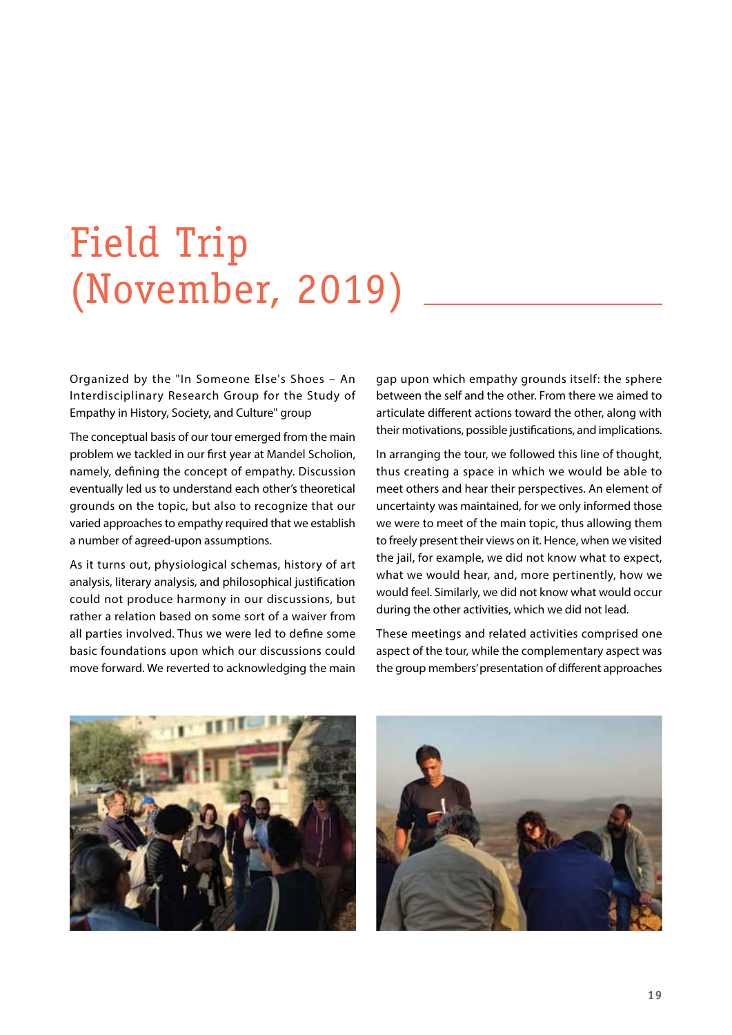# Field Trip (November, 2019)

Organized by the "In Someone Else's Shoes – An Interdisciplinary Research Group for the Study of Empathy in History, Society, and Culture" group

The conceptual basis of our tour emerged from the main problem we tackled in our first year at Mandel Scholion, namely, defining the concept of empathy. Discussion eventually led us to understand each other's theoretical grounds on the topic, but also to recognize that our varied approaches to empathy required that we establish a number of agreed-upon assumptions.

As it turns out, physiological schemas, history of art analysis, literary analysis, and philosophical justification could not produce harmony in our discussions, but rather a relation based on some sort of a waiver from all parties involved. Thus we were led to define some basic foundations upon which our discussions could move forward. We reverted to acknowledging the main gap upon which empathy grounds itself: the sphere between the self and the other. From there we aimed to articulate different actions toward the other, along with their motivations, possible justifications, and implications.

In arranging the tour, we followed this line of thought, thus creating a space in which we would be able to meet others and hear their perspectives. An element of uncertainty was maintained, for we only informed those we were to meet of the main topic, thus allowing them to freely present their views on it. Hence, when we visited the jail, for example, we did not know what to expect, what we would hear, and, more pertinently, how we would feel. Similarly, we did not know what would occur during the other activities, which we did not lead.

These meetings and related activities comprised one aspect of the tour, while the complementary aspect was the group members' presentation of different approaches



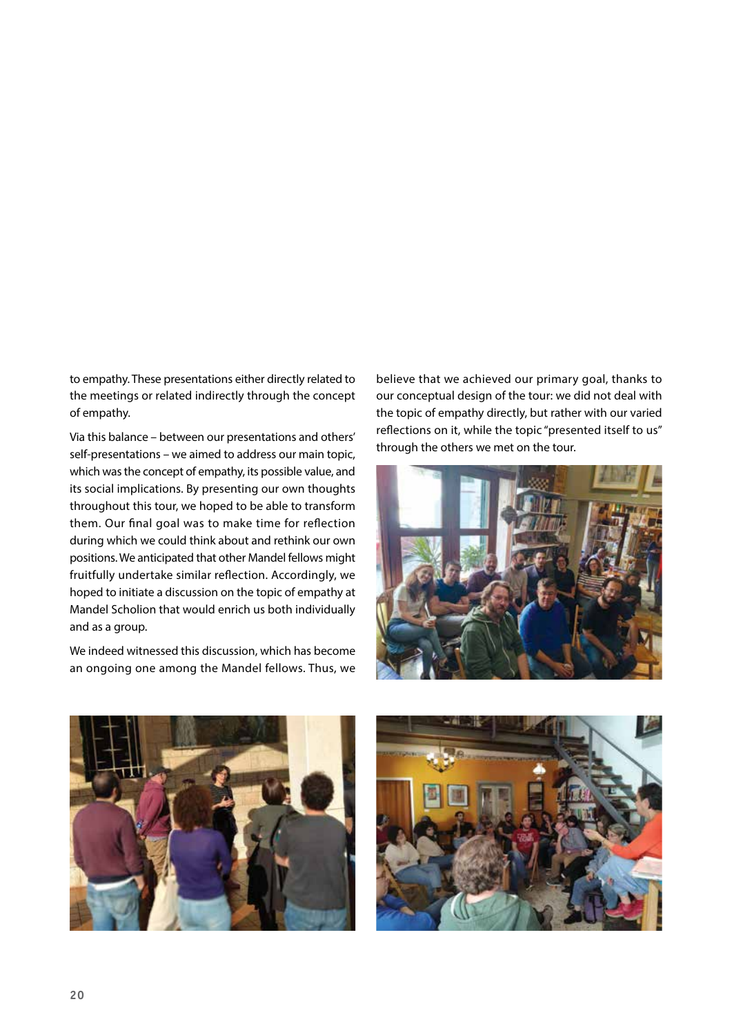to empathy. These presentations either directly related to the meetings or related indirectly through the concept of empathy.

Via this balance – between our presentations and others' self-presentations – we aimed to address our main topic, which was the concept of empathy, its possible value, and its social implications. By presenting our own thoughts throughout this tour, we hoped to be able to transform them. Our final goal was to make time for reflection during which we could think about and rethink our own positions. We anticipated that other Mandel fellows might fruitfully undertake similar reflection. Accordingly, we hoped to initiate a discussion on the topic of empathy at Mandel Scholion that would enrich us both individually and as a group.

We indeed witnessed this discussion, which has become an ongoing one among the Mandel fellows. Thus, we believe that we achieved our primary goal, thanks to our conceptual design of the tour: we did not deal with the topic of empathy directly, but rather with our varied reflections on it, while the topic "presented itself to us" through the others we met on the tour.





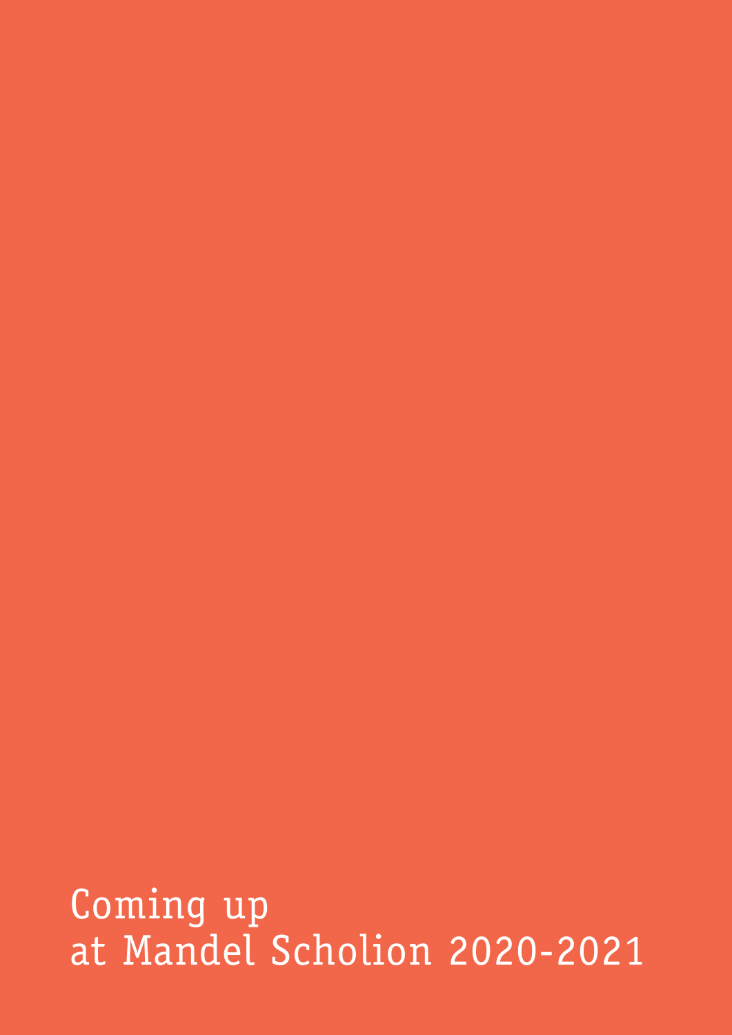Coming up at Mandel Scholion 2020-2021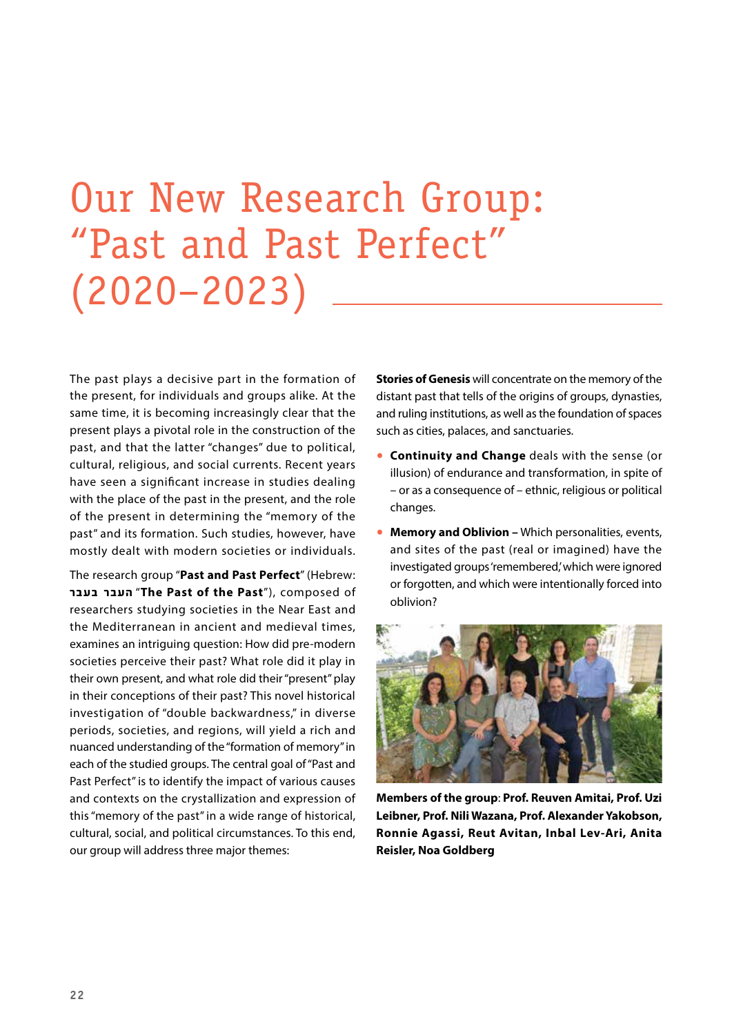# Our New Research Group: "Past and Past Perfect" (2020–2023)

The past plays a decisive part in the formation of the present, for individuals and groups alike. At the same time, it is becoming increasingly clear that the present plays a pivotal role in the construction of the past, and that the latter "changes" due to political, cultural, religious, and social currents. Recent years have seen a significant increase in studies dealing with the place of the past in the present, and the role of the present in determining the "memory of the past" and its formation. Such studies, however, have mostly dealt with modern societies or individuals.

The research group "**Past and Past Perfect**" (Hebrew: בעבר העבר" **The Past of the Past**"), composed of researchers studying societies in the Near East and the Mediterranean in ancient and medieval times, examines an intriguing question: How did pre-modern societies perceive their past? What role did it play in their own present, and what role did their "present" play in their conceptions of their past? This novel historical investigation of "double backwardness," in diverse periods, societies, and regions, will yield a rich and nuanced understanding of the "formation of memory" in each of the studied groups. The central goal of "Past and Past Perfect" is to identify the impact of various causes and contexts on the crystallization and expression of this "memory of the past" in a wide range of historical, cultural, social, and political circumstances. To this end, our group will address three major themes:

**Stories of Genesis** will concentrate on the memory of the distant past that tells of the origins of groups, dynasties, and ruling institutions, as well as the foundation of spaces such as cities, palaces, and sanctuaries.

- **Continuity and Change** deals with the sense (or illusion) of endurance and transformation, in spite of – or as a consequence of – ethnic, religious or political changes.
- **Memory and Oblivion –** Which personalities, events, and sites of the past (real or imagined) have the investigated groups'remembered,' which were ignored or forgotten, and which were intentionally forced into oblivion?



**Members of the group**: **Prof. Reuven Amitai, Prof. Uzi Leibner, Prof. Nili Wazana, Prof. Alexander Yakobson, Ronnie Agassi, Reut Avitan, Inbal Lev-Ari, Anita Reisler, Noa Goldberg**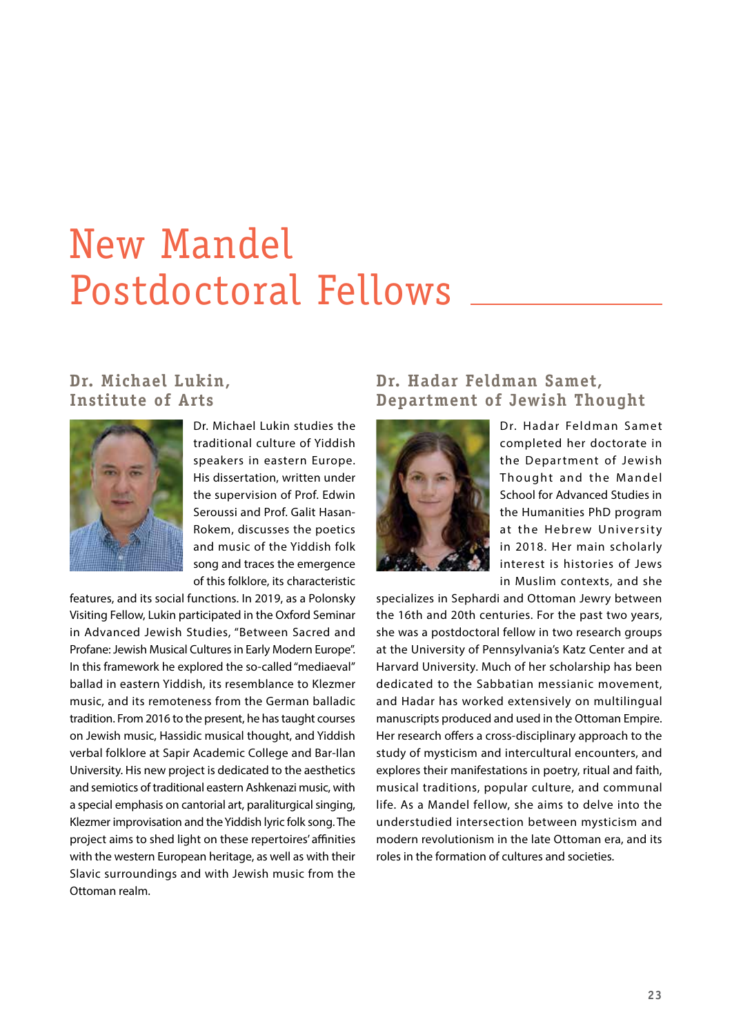# New Mandel Postdoctoral Fellows

### **Dr. Michael Lukin, Institute of Arts**



Dr. Michael Lukin studies the traditional culture of Yiddish speakers in eastern Europe. His dissertation, written under the supervision of Prof. Edwin Seroussi and Prof. Galit Hasan-Rokem, discusses the poetics and music of the Yiddish folk song and traces the emergence of this folklore, its characteristic

features, and its social functions. In 2019, as a Polonsky Visiting Fellow, Lukin participated in the Oxford Seminar in Advanced Jewish Studies, "Between Sacred and Profane: Jewish Musical Cultures in Early Modern Europe". In this framework he explored the so-called "mediaeval" ballad in eastern Yiddish, its resemblance to Klezmer music, and its remoteness from the German balladic tradition. From 2016 to the present, he has taught courses on Jewish music, Hassidic musical thought, and Yiddish verbal folklore at Sapir Academic College and Bar-Ilan University. His new project is dedicated to the aesthetics and semiotics of traditional eastern Ashkenazi music, with a special emphasis on cantorial art, paraliturgical singing, Klezmer improvisation and the Yiddish lyric folk song. The project aims to shed light on these repertoires' affinities with the western European heritage, as well as with their Slavic surroundings and with Jewish music from the Ottoman realm.

### **Dr. Hadar Feldman Samet, Department of Jewish Thought**



Dr. Hadar Feldman Samet completed her doctorate in the Department of Jewish Thought and the Mandel School for Advanced Studies in the Humanities PhD program at the Hebrew University in 2018. Her main scholarly interest is histories of Jews in Muslim contexts, and she

specializes in Sephardi and Ottoman Jewry between the 16th and 20th centuries. For the past two years, she was a postdoctoral fellow in two research groups at the University of Pennsylvania's Katz Center and at Harvard University. Much of her scholarship has been dedicated to the Sabbatian messianic movement, and Hadar has worked extensively on multilingual manuscripts produced and used in the Ottoman Empire. Her research offers a cross-disciplinary approach to the study of mysticism and intercultural encounters, and explores their manifestations in poetry, ritual and faith, musical traditions, popular culture, and communal life. As a Mandel fellow, she aims to delve into the understudied intersection between mysticism and modern revolutionism in the late Ottoman era, and its roles in the formation of cultures and societies.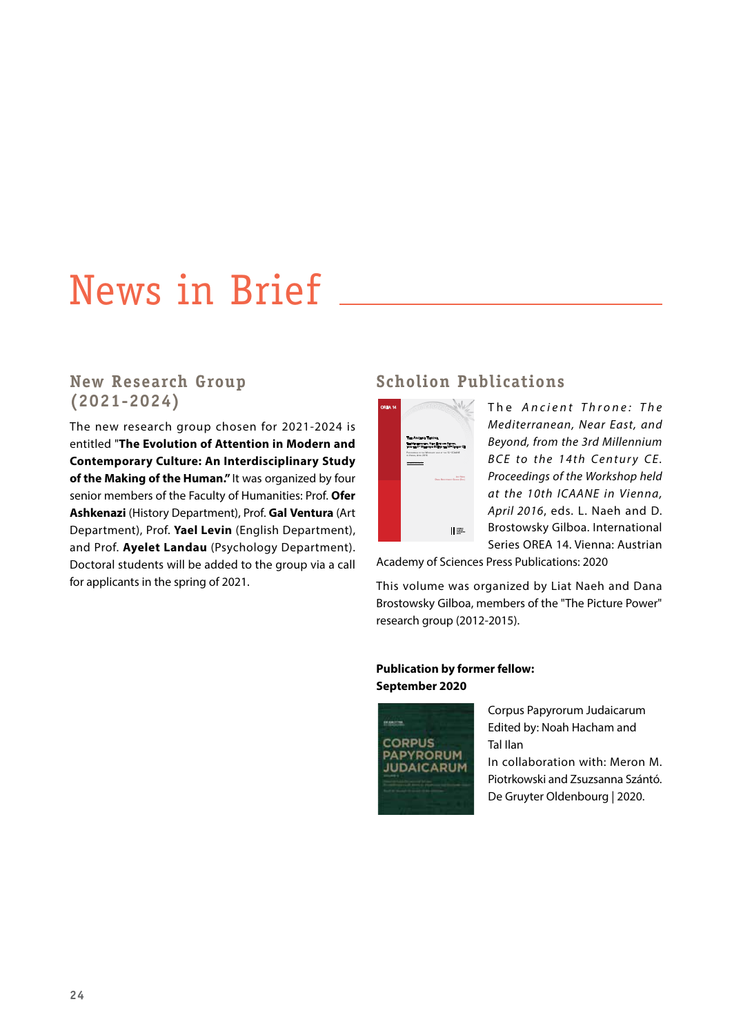## News in Brief

### **New Research Group (2021-2024)**

The new research group chosen for 2021-2024 is entitled "**The Evolution of Attention in Modern and Contemporary Culture: An Interdisciplinary Study of the Making of the Human."** It was organized by four senior members of the Faculty of Humanities: Prof. **Ofer Ashkenazi** (History Department), Prof. **Gal Ventura** (Art Department), Prof. **Yael Levin** (English Department), and Prof. **Ayelet Landau** (Psychology Department). Doctoral students will be added to the group via a call for applicants in the spring of 2021.

### **Scholion Publications**



The *Ancient Throne: The Mediterranean, Near East, and Beyond, from the 3rd Millennium BCE to the 14th Century CE. Proceedings of the Workshop held at the 10th ICAANE in Vienna, April 2016*, eds. L. Naeh and D. Brostowsky Gilboa. International Series OREA 14. Vienna: Austrian

Academy of Sciences Press Publications: 2020

This volume was organized by Liat Naeh and Dana Brostowsky Gilboa, members of the "The Picture Power" research group (2012-2015).

#### **Publication by former fellow: September 2020**



Corpus Papyrorum Judaicarum Edited by: Noah Hacham and Tal Ilan In collaboration with: Meron M. Piotrkowski and Zsuzsanna Szántó. De Gruyter Oldenbourg | 2020.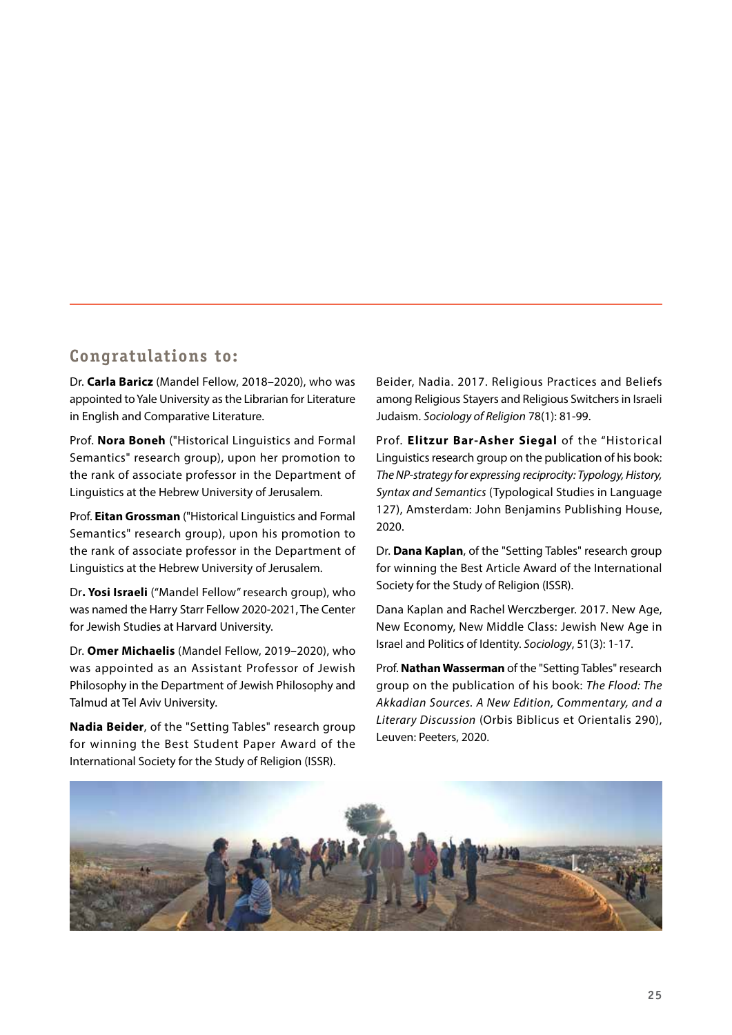### **Congratulations to:**

Dr. **Carla Baricz** (Mandel Fellow, 2018–2020), who was appointed to Yale University as the Librarian for Literature in English and Comparative Literature.

Prof. **Nora Boneh** ("Historical Linguistics and Formal Semantics" research group), upon her promotion to the rank of associate professor in the Department of Linguistics at the Hebrew University of Jerusalem.

Prof. **Eitan Grossman** ("Historical Linguistics and Formal Semantics" research group), upon his promotion to the rank of associate professor in the Department of Linguistics at the Hebrew University of Jerusalem.

Dr**. Yosi Israeli** ("Mandel Fellow" research group), who was named the Harry Starr Fellow 2020-2021, The Center for Jewish Studies at Harvard University.

Dr. **Omer Michaelis** (Mandel Fellow, 2019–2020), who was appointed as an Assistant Professor of Jewish Philosophy in the Department of Jewish Philosophy and Talmud at Tel Aviv University.

**Nadia Beider**, of the "Setting Tables" research group for winning the Best Student Paper Award of the International Society for the Study of Religion (ISSR).

Beider, Nadia. 2017. Religious Practices and Beliefs among Religious Stayers and Religious Switchers in Israeli Judaism. *Sociology of Religion* 78(1): 81-99.

Prof. **Elitzur Bar-Asher Siegal** of the "Historical Linguistics research group on the publication of his book: *The NP-strategy for expressing reciprocity: Typology, History, Syntax and Semantics* (Typological Studies in Language 127), Amsterdam: John Benjamins Publishing House, 2020.

Dr. **Dana Kaplan**, of the "Setting Tables" research group for winning the Best Article Award of the International Society for the Study of Religion (ISSR).

Dana Kaplan and Rachel Werczberger. 2017. New Age, New Economy, New Middle Class: Jewish New Age in Israel and Politics of Identity. *Sociology*, 51(3): 1-17.

Prof. **Nathan Wasserman** of the "Setting Tables" research group on the publication of his book: *The Flood: The Akkadian Sources. A New Edition, Commentary, and a Literary Discussion* (Orbis Biblicus et Orientalis 290), Leuven: Peeters, 2020.

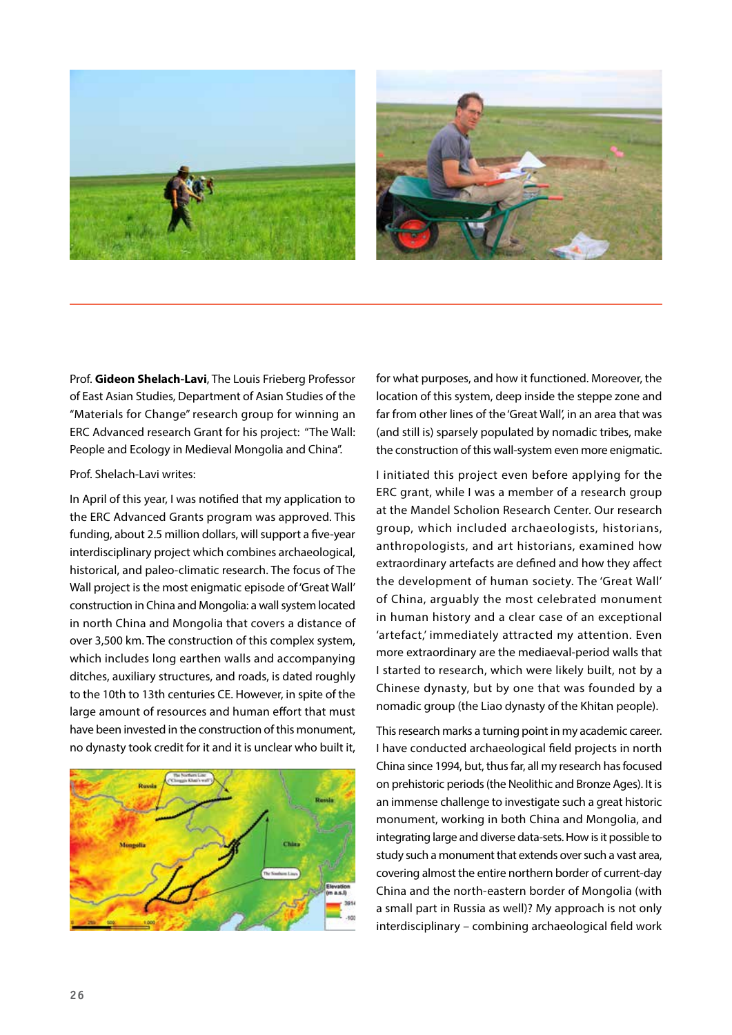



Prof. **Gideon Shelach-Lavi**, The Louis Frieberg Professor of East Asian Studies, Department of Asian Studies of the "Materials for Change" research group for winning an ERC Advanced research Grant for his project: "The Wall: People and Ecology in Medieval Mongolia and China".

#### Prof. Shelach-Lavi writes:

In April of this year, I was notified that my application to the ERC Advanced Grants program was approved. This funding, about 2.5 million dollars, will support a five-year interdisciplinary project which combines archaeological, historical, and paleo-climatic research. The focus of The Wall project is the most enigmatic episode of 'Great Wall' construction in China and Mongolia: a wall system located in north China and Mongolia that covers a distance of over 3,500 km. The construction of this complex system, which includes long earthen walls and accompanying ditches, auxiliary structures, and roads, is dated roughly to the 10th to 13th centuries CE. However, in spite of the large amount of resources and human effort that must have been invested in the construction of this monument, no dynasty took credit for it and it is unclear who built it,



for what purposes, and how it functioned. Moreover, the location of this system, deep inside the steppe zone and far from other lines of the 'Great Wall', in an area that was (and still is) sparsely populated by nomadic tribes, make the construction of this wall-system even more enigmatic.

I initiated this project even before applying for the ERC grant, while I was a member of a research group at the Mandel Scholion Research Center. Our research group, which included archaeologists, historians, anthropologists, and art historians, examined how extraordinary artefacts are defined and how they affect the development of human society. The 'Great Wall' of China, arguably the most celebrated monument in human history and a clear case of an exceptional 'artefact,' immediately attracted my attention. Even more extraordinary are the mediaeval-period walls that I started to research, which were likely built, not by a Chinese dynasty, but by one that was founded by a nomadic group (the Liao dynasty of the Khitan people).

This research marks a turning point in my academic career. I have conducted archaeological field projects in north China since 1994, but, thus far, all my research has focused on prehistoric periods (the Neolithic and Bronze Ages). It is an immense challenge to investigate such a great historic monument, working in both China and Mongolia, and integrating large and diverse data-sets. How is it possible to study such a monument that extends over such a vast area, covering almost the entire northern border of current-day China and the north-eastern border of Mongolia (with a small part in Russia as well)? My approach is not only interdisciplinary – combining archaeological field work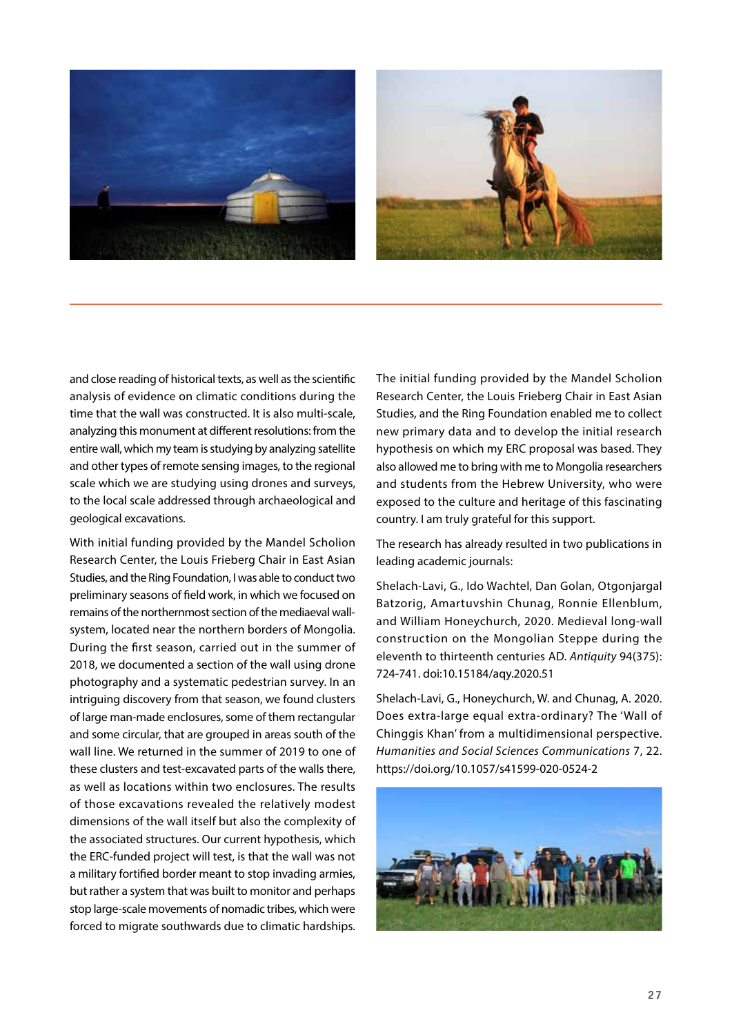



and close reading of historical texts, as well as the scientific analysis of evidence on climatic conditions during the time that the wall was constructed. It is also multi-scale, analyzing this monument at different resolutions: from the entire wall, which my team is studying by analyzing satellite and other types of remote sensing images, to the regional scale which we are studying using drones and surveys, to the local scale addressed through archaeological and geological excavations.

With initial funding provided by the Mandel Scholion Research Center, the Louis Frieberg Chair in East Asian Studies, and the Ring Foundation, I was able to conduct two preliminary seasons of field work, in which we focused on remains of the northernmost section of the mediaeval wallsystem, located near the northern borders of Mongolia. During the first season, carried out in the summer of 2018, we documented a section of the wall using drone photography and a systematic pedestrian survey. In an intriguing discovery from that season, we found clusters of large man-made enclosures, some of them rectangular and some circular, that are grouped in areas south of the wall line. We returned in the summer of 2019 to one of these clusters and test-excavated parts of the walls there, as well as locations within two enclosures. The results of those excavations revealed the relatively modest dimensions of the wall itself but also the complexity of the associated structures. Our current hypothesis, which the ERC-funded project will test, is that the wall was not a military fortified border meant to stop invading armies, but rather a system that was built to monitor and perhaps stop large-scale movements of nomadic tribes, which were forced to migrate southwards due to climatic hardships. The initial funding provided by the Mandel Scholion Research Center, the Louis Frieberg Chair in East Asian Studies, and the Ring Foundation enabled me to collect new primary data and to develop the initial research hypothesis on which my ERC proposal was based. They also allowed me to bring with me to Mongolia researchers and students from the Hebrew University, who were exposed to the culture and heritage of this fascinating country. I am truly grateful for this support.

The research has already resulted in two publications in leading academic journals:

Shelach-Lavi, G., Ido Wachtel, Dan Golan, Otgonjargal Batzorig, Amartuvshin Chunag, Ronnie Ellenblum, and William Honeychurch, 2020. Medieval long-wall construction on the Mongolian Steppe during the eleventh to thirteenth centuries AD. *Antiquity* 94(375): 724-741. doi:10.15184/aqy.2020.51

Shelach-Lavi, G., Honeychurch, W. and Chunag, A. 2020. Does extra-large equal extra-ordinary? The 'Wall of Chinggis Khan' from a multidimensional perspective. *Humanities and Social Sciences Communications* 7, 22. https://doi.org/10.1057/s41599-020-0524-2